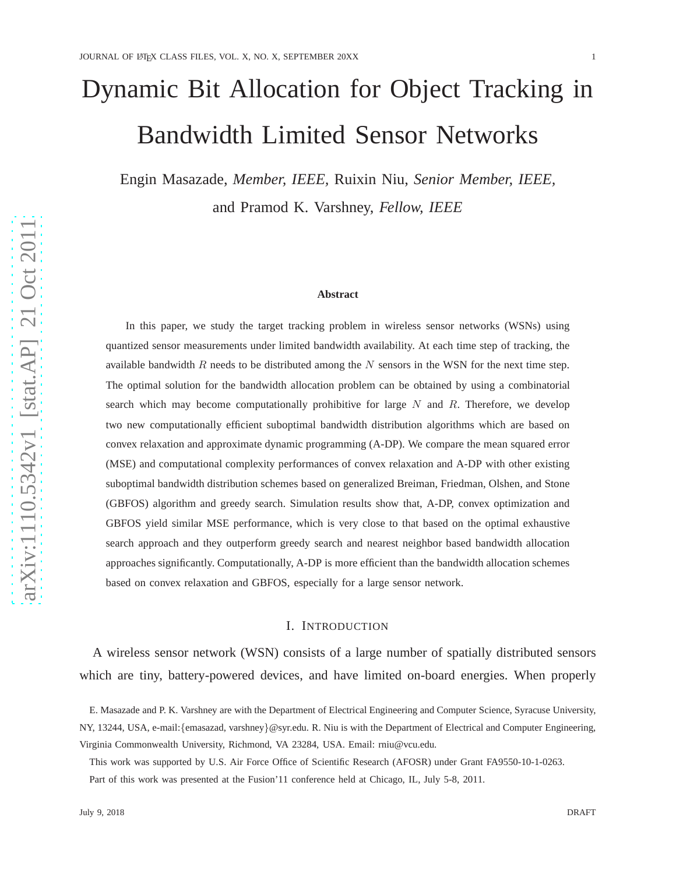# Dynamic Bit Allocation for Object Tracking in Bandwidth Limited Sensor Networks

Engin Masazade, *Member, IEEE,* Ruixin Niu, *Senior Member, IEEE,* and Pramod K. Varshney, *Fellow, IEEE*

#### **Abstract**

In this paper, we study the target tracking problem in wireless sensor networks (WSNs) using quantized sensor measurements under limited bandwidth availability. At each time step of tracking, the available bandwidth  $R$  needs to be distributed among the  $N$  sensors in the WSN for the next time step. The optimal solution for the bandwidth allocation problem can be obtained by using a combinatorial search which may become computationally prohibitive for large  $N$  and  $R$ . Therefore, we develop two new computationally efficient suboptimal bandwidth distribution algorithms which are based on convex relaxation and approximate dynamic programming (A-DP). We compare the mean squared error (MSE) and computational complexity performances of convex relaxation and A-DP with other existing suboptimal bandwidth distribution schemes based on generalized Breiman, Friedman, Olshen, and Stone (GBFOS) algorithm and greedy search. Simulation results show that, A-DP, convex optimization and GBFOS yield similar MSE performance, which is very close to that based on the optimal exhaustive search approach and they outperform greedy search and nearest neighbor based bandwidth allocation approaches significantly. Computationally, A-DP is more efficient than the bandwidth allocation schemes based on convex relaxation and GBFOS, especially for a large sensor network.

#### I. INTRODUCTION

A wireless sensor network (WSN) consists of a large number of spatially distributed sensors which are tiny, battery-powered devices, and have limited on-board energies. When properly

E. Masazade and P. K. Varshney are with the Department of Electrical Engineering and Computer Science, Syracuse University, NY, 13244, USA, e-mail: {emasazad, varshney }@syr.edu. R. Niu is with the Department of Electrical and Computer Engineering, Virginia Commonwealth University, Richmond, VA 23284, USA. Email: rniu@vcu.edu.

This work was supported by U.S. Air Force Office of Scientific Research (AFOSR) under Grant FA9550-10-1-0263.

Part of this work was presented at the Fusion'11 conference held at Chicago, IL, July 5-8, 2011.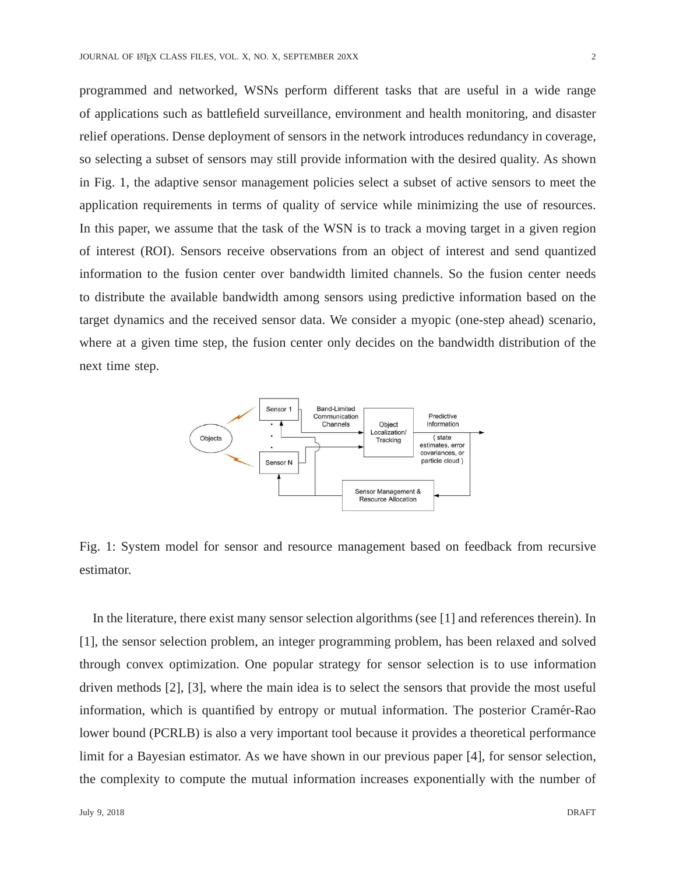programmed and networked, WSNs perform different tasks that are useful in a wide range of applications such as battlefield surveillance, environment and health monitoring, and disaster relief operations. Dense deployment of sensors in the network introduces redundancy in coverage, so selecting a subset of sensors may still provide information with the desired quality. As shown in Fig. 1, the adaptive sensor management policies select a subset of active sensors to meet the application requirements in terms of quality of service while minimizing the use of resources. In this paper, we assume that the task of the WSN is to track a moving target in a given region of interest (ROI). Sensors receive observations from an object of interest and send quantized information to the fusion center over bandwidth limited channels. So the fusion center needs to distribute the available bandwidth among sensors using predictive information based on the target dynamics and the received sensor data. We consider a myopic (one-step ahead) scenario, where at a given time step, the fusion center only decides on the bandwidth distribution of the next time step.



Fig. 1: System model for sensor and resource management based on feedback from recursive estimator.

In the literature, there exist many sensor selection algorithms (see [1] and references therein). In [1], the sensor selection problem, an integer programming problem, has been relaxed and solved through convex optimization. One popular strategy for sensor selection is to use information driven methods [2], [3], where the main idea is to select the sensors that provide the most useful information, which is quantified by entropy or mutual information. The posterior Cramér-Rao lower bound (PCRLB) is also a very important tool because it provides a theoretical performance limit for a Bayesian estimator. As we have shown in our previous paper [4], for sensor selection, the complexity to compute the mutual information increases exponentially with the number of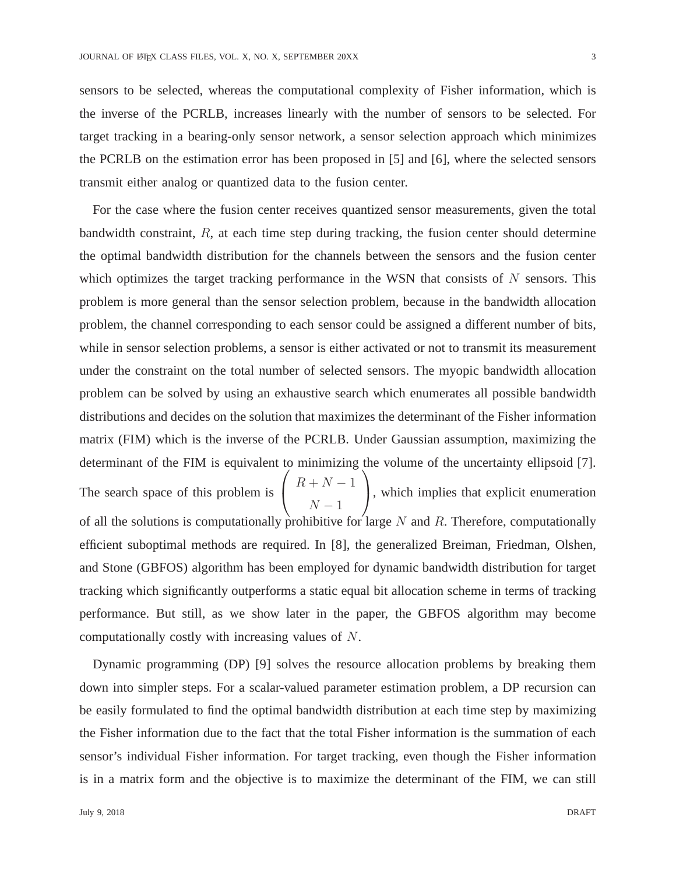sensors to be selected, whereas the computational complexity of Fisher information, which is the inverse of the PCRLB, increases linearly with the number of sensors to be selected. For target tracking in a bearing-only sensor network, a sensor selection approach which minimizes the PCRLB on the estimation error has been proposed in [5] and [6], where the selected sensors transmit either analog or quantized data to the fusion center.

For the case where the fusion center receives quantized sensor measurements, given the total bandwidth constraint, R, at each time step during tracking, the fusion center should determine the optimal bandwidth distribution for the channels between the sensors and the fusion center which optimizes the target tracking performance in the WSN that consists of  $N$  sensors. This problem is more general than the sensor selection problem, because in the bandwidth allocation problem, the channel corresponding to each sensor could be assigned a different number of bits, while in sensor selection problems, a sensor is either activated or not to transmit its measurement under the constraint on the total number of selected sensors. The myopic bandwidth allocation problem can be solved by using an exhaustive search which enumerates all possible bandwidth distributions and decides on the solution that maximizes the determinant of the Fisher information matrix (FIM) which is the inverse of the PCRLB. Under Gaussian assumption, maximizing the determinant of the FIM is equivalent to minimizing the volume of the uncertainty ellipsoid [7]. The search space of this problem is  $\sqrt{ }$  $\mathcal{L}$  $R + N - 1$  $N-1$  $\setminus$ , which implies that explicit enumeration of all the solutions is computationally prohibitive for large  $N$  and  $R$ . Therefore, computationally efficient suboptimal methods are required. In [8], the generalized Breiman, Friedman, Olshen, and Stone (GBFOS) algorithm has been employed for dynamic bandwidth distribution for target tracking which significantly outperforms a static equal bit allocation scheme in terms of tracking performance. But still, as we show later in the paper, the GBFOS algorithm may become computationally costly with increasing values of N.

Dynamic programming (DP) [9] solves the resource allocation problems by breaking them down into simpler steps. For a scalar-valued parameter estimation problem, a DP recursion can be easily formulated to find the optimal bandwidth distribution at each time step by maximizing the Fisher information due to the fact that the total Fisher information is the summation of each sensor's individual Fisher information. For target tracking, even though the Fisher information is in a matrix form and the objective is to maximize the determinant of the FIM, we can still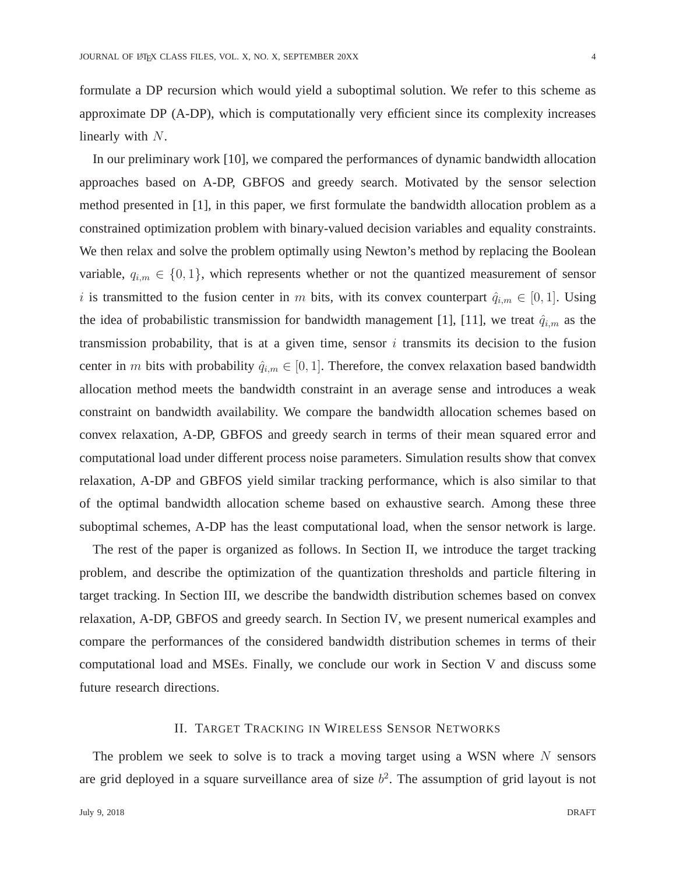formulate a DP recursion which would yield a suboptimal solution. We refer to this scheme as approximate DP (A-DP), which is computationally very efficient since its complexity increases linearly with N.

In our preliminary work [10], we compared the performances of dynamic bandwidth allocation approaches based on A-DP, GBFOS and greedy search. Motivated by the sensor selection method presented in [1], in this paper, we first formulate the bandwidth allocation problem as a constrained optimization problem with binary-valued decision variables and equality constraints. We then relax and solve the problem optimally using Newton's method by replacing the Boolean variable,  $q_{i,m} \in \{0,1\}$ , which represents whether or not the quantized measurement of sensor i is transmitted to the fusion center in m bits, with its convex counterpart  $\hat{q}_{i,m} \in [0,1]$ . Using the idea of probabilistic transmission for bandwidth management [1], [11], we treat  $\hat{q}_{i,m}$  as the transmission probability, that is at a given time, sensor  $i$  transmits its decision to the fusion center in m bits with probability  $\hat{q}_{i,m} \in [0,1]$ . Therefore, the convex relaxation based bandwidth allocation method meets the bandwidth constraint in an average sense and introduces a weak constraint on bandwidth availability. We compare the bandwidth allocation schemes based on convex relaxation, A-DP, GBFOS and greedy search in terms of their mean squared error and computational load under different process noise parameters. Simulation results show that convex relaxation, A-DP and GBFOS yield similar tracking performance, which is also similar to that of the optimal bandwidth allocation scheme based on exhaustive search. Among these three suboptimal schemes, A-DP has the least computational load, when the sensor network is large.

The rest of the paper is organized as follows. In Section II, we introduce the target tracking problem, and describe the optimization of the quantization thresholds and particle filtering in target tracking. In Section III, we describe the bandwidth distribution schemes based on convex relaxation, A-DP, GBFOS and greedy search. In Section IV, we present numerical examples and compare the performances of the considered bandwidth distribution schemes in terms of their computational load and MSEs. Finally, we conclude our work in Section V and discuss some future research directions.

# II. TARGET TRACKING IN WIRELESS SENSOR NETWORKS

The problem we seek to solve is to track a moving target using a WSN where  $N$  sensors are grid deployed in a square surveillance area of size  $b^2$ . The assumption of grid layout is not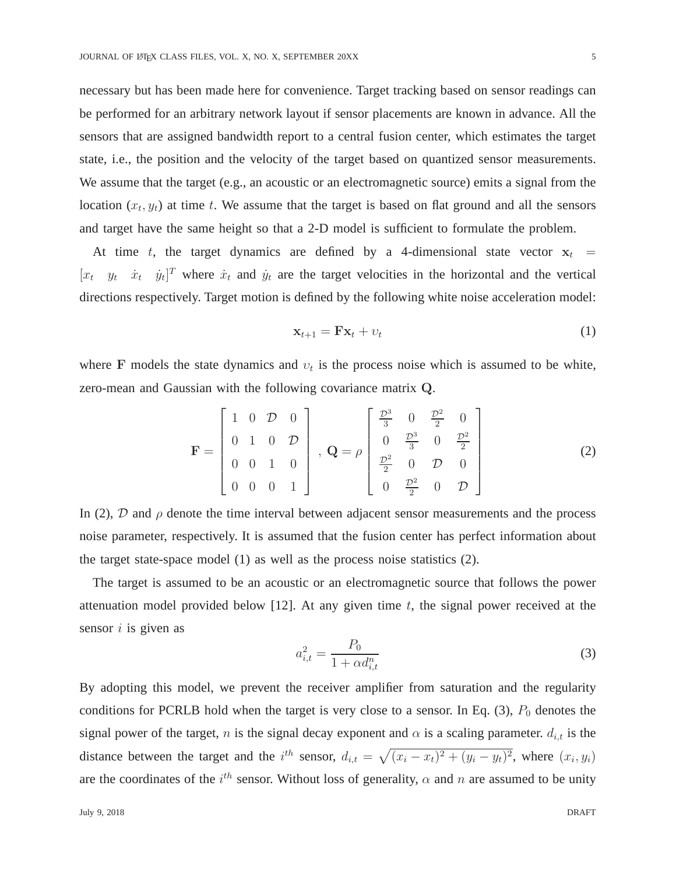necessary but has been made here for convenience. Target tracking based on sensor readings can be performed for an arbitrary network layout if sensor placements are known in advance. All the sensors that are assigned bandwidth report to a central fusion center, which estimates the target state, i.e., the position and the velocity of the target based on quantized sensor measurements. We assume that the target (e.g., an acoustic or an electromagnetic source) emits a signal from the location  $(x_t, y_t)$  at time t. We assume that the target is based on flat ground and all the sensors and target have the same height so that a 2-D model is sufficient to formulate the problem.

At time t, the target dynamics are defined by a 4-dimensional state vector  $x_t$  =  $[x_t \quad y_t \quad \dot{x}_t \quad \dot{y}_t]^T$  where  $\dot{x}_t$  and  $\dot{y}_t$  are the target velocities in the horizontal and the vertical directions respectively. Target motion is defined by the following white noise acceleration model:

$$
\mathbf{x}_{t+1} = \mathbf{F}\mathbf{x}_t + \nu_t \tag{1}
$$

where F models the state dynamics and  $v_t$  is the process noise which is assumed to be white, zero-mean and Gaussian with the following covariance matrix Q.

$$
\mathbf{F} = \begin{bmatrix} 1 & 0 & \mathcal{D} & 0 \\ 0 & 1 & 0 & \mathcal{D} \\ 0 & 0 & 1 & 0 \\ 0 & 0 & 0 & 1 \end{bmatrix}, \ \mathbf{Q} = \rho \begin{bmatrix} \frac{\mathcal{D}^3}{3} & 0 & \frac{\mathcal{D}^2}{2} & 0 \\ 0 & \frac{\mathcal{D}^3}{3} & 0 & \frac{\mathcal{D}^2}{2} \\ \frac{\mathcal{D}^2}{2} & 0 & \mathcal{D} & 0 \\ 0 & \frac{\mathcal{D}^2}{2} & 0 & \mathcal{D} \end{bmatrix}
$$
(2)

In (2), D and  $\rho$  denote the time interval between adjacent sensor measurements and the process noise parameter, respectively. It is assumed that the fusion center has perfect information about the target state-space model (1) as well as the process noise statistics (2).

The target is assumed to be an acoustic or an electromagnetic source that follows the power attenuation model provided below [12]. At any given time  $t$ , the signal power received at the sensor  $i$  is given as

$$
a_{i,t}^2 = \frac{P_0}{1 + \alpha d_{i,t}^n}
$$
 (3)

By adopting this model, we prevent the receiver amplifier from saturation and the regularity conditions for PCRLB hold when the target is very close to a sensor. In Eq.  $(3)$ ,  $P_0$  denotes the signal power of the target, n is the signal decay exponent and  $\alpha$  is a scaling parameter.  $d_{i,t}$  is the distance between the target and the  $i^{th}$  sensor,  $d_{i,t} = \sqrt{(x_i - x_t)^2 + (y_i - y_t)^2}$ , where  $(x_i, y_i)$ are the coordinates of the  $i^{th}$  sensor. Without loss of generality,  $\alpha$  and  $n$  are assumed to be unity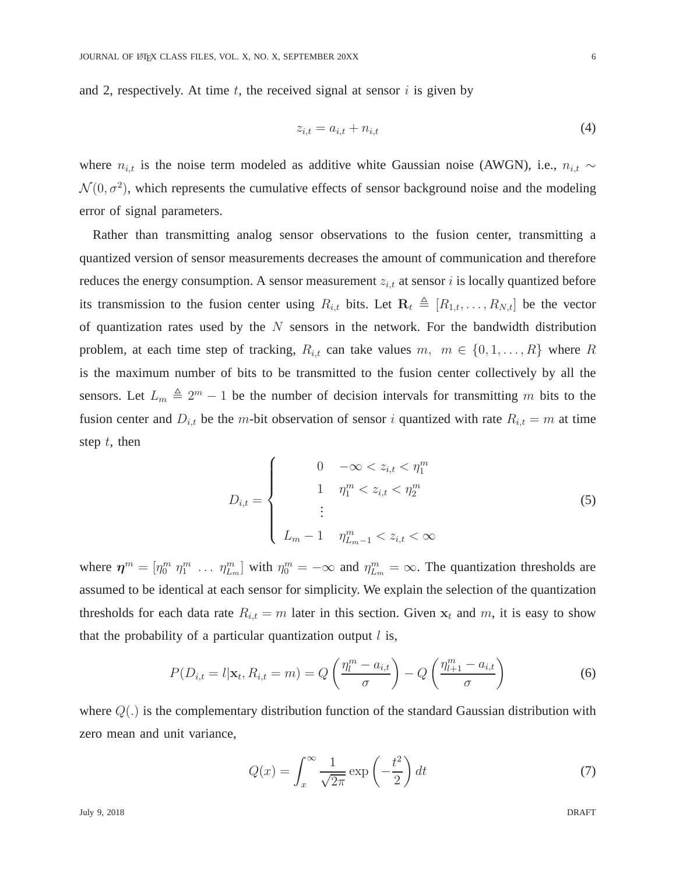and 2, respectively. At time  $t$ , the received signal at sensor  $i$  is given by

$$
z_{i,t} = a_{i,t} + n_{i,t} \tag{4}
$$

where  $n_{i,t}$  is the noise term modeled as additive white Gaussian noise (AWGN), i.e.,  $n_{i,t} \sim$  $\mathcal{N}(0, \sigma^2)$ , which represents the cumulative effects of sensor background noise and the modeling error of signal parameters.

Rather than transmitting analog sensor observations to the fusion center, transmitting a quantized version of sensor measurements decreases the amount of communication and therefore reduces the energy consumption. A sensor measurement  $z_{i,t}$  at sensor i is locally quantized before its transmission to the fusion center using  $R_{i,t}$  bits. Let  $\mathbf{R}_t \triangleq [R_{1,t}, \ldots, R_{N,t}]$  be the vector of quantization rates used by the  $N$  sensors in the network. For the bandwidth distribution problem, at each time step of tracking,  $R_{i,t}$  can take values  $m, m \in \{0, 1, ..., R\}$  where R is the maximum number of bits to be transmitted to the fusion center collectively by all the sensors. Let  $L_m \triangleq 2^m - 1$  be the number of decision intervals for transmitting m bits to the fusion center and  $D_{i,t}$  be the m-bit observation of sensor i quantized with rate  $R_{i,t} = m$  at time step  $t$ , then

$$
D_{i,t} = \begin{cases} 0 & -\infty < z_{i,t} < \eta_1^m \\ 1 & \eta_1^m < z_{i,t} < \eta_2^m \\ \vdots & \vdots \\ L_m - 1 & \eta_{L_m-1}^m < z_{i,t} < \infty \end{cases} \tag{5}
$$

where  $\eta^m = [\eta^m_0 \eta^m_1 \dots \eta^m_{L_m}]$  with  $\eta^m_0 = -\infty$  and  $\eta^m_{L_m} = \infty$ . The quantization thresholds are assumed to be identical at each sensor for simplicity. We explain the selection of the quantization thresholds for each data rate  $R_{i,t} = m$  later in this section. Given  $x_t$  and m, it is easy to show that the probability of a particular quantization output  $l$  is,

$$
P(D_{i,t} = l | \mathbf{x}_t, R_{i,t} = m) = Q\left(\frac{\eta_l^m - a_{i,t}}{\sigma}\right) - Q\left(\frac{\eta_{l+1}^m - a_{i,t}}{\sigma}\right)
$$
(6)

where  $Q(.)$  is the complementary distribution function of the standard Gaussian distribution with zero mean and unit variance,

$$
Q(x) = \int_{x}^{\infty} \frac{1}{\sqrt{2\pi}} \exp\left(-\frac{t^2}{2}\right) dt
$$
 (7)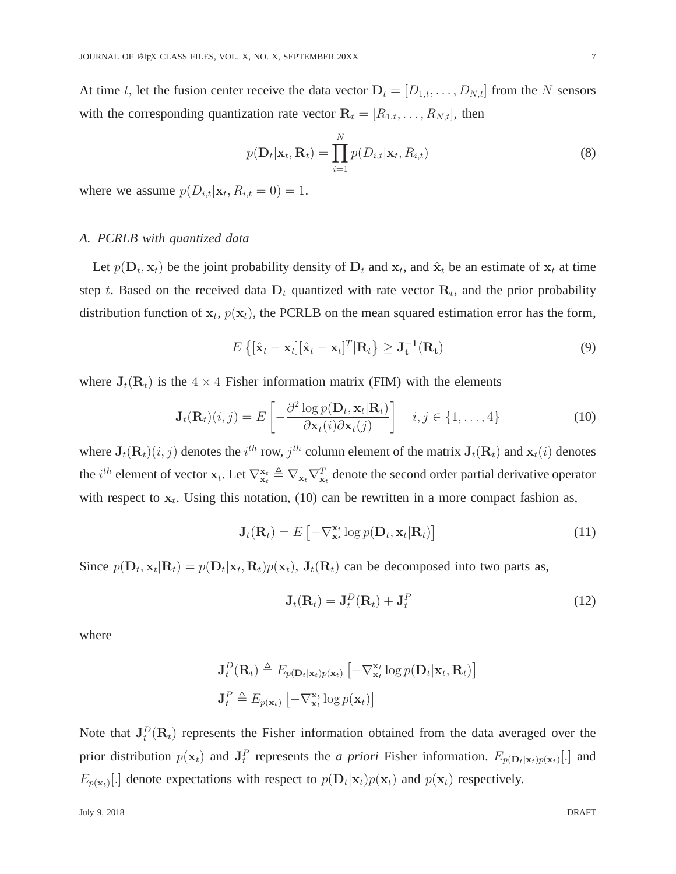At time t, let the fusion center receive the data vector  $D_t = [D_{1,t}, \ldots, D_{N,t}]$  from the N sensors with the corresponding quantization rate vector  $\mathbf{R}_t = [R_{1,t}, \dots, R_{N,t}]$ , then

$$
p(\mathbf{D}_t|\mathbf{x}_t, \mathbf{R}_t) = \prod_{i=1}^N p(D_{i,t}|\mathbf{x}_t, R_{i,t})
$$
\n(8)

where we assume  $p(D_{i,t}|\mathbf{x}_t, R_{i,t} = 0) = 1$ .

## *A. PCRLB with quantized data*

Let  $p(\mathbf{D}_t, \mathbf{x}_t)$  be the joint probability density of  $\mathbf{D}_t$  and  $\mathbf{x}_t$ , and  $\hat{\mathbf{x}}_t$  be an estimate of  $\mathbf{x}_t$  at time step t. Based on the received data  $D_t$  quantized with rate vector  $R_t$ , and the prior probability distribution function of  $x_t$ ,  $p(x_t)$ , the PCRLB on the mean squared estimation error has the form,

$$
E\left\{ \left[\hat{\mathbf{x}}_t - \mathbf{x}_t\right] \left[\hat{\mathbf{x}}_t - \mathbf{x}_t\right]^T \middle| \mathbf{R}_t \right\} \ge \mathbf{J_t^{-1}}(\mathbf{R_t})
$$
\n(9)

where  $J_t(R_t)$  is the  $4 \times 4$  Fisher information matrix (FIM) with the elements

$$
\mathbf{J}_t(\mathbf{R}_t)(i,j) = E\left[-\frac{\partial^2 \log p(\mathbf{D}_t, \mathbf{x}_t | \mathbf{R}_t)}{\partial \mathbf{x}_t(i) \partial \mathbf{x}_t(j)}\right] \quad i, j \in \{1, ..., 4\}
$$
(10)

where  $J_t(R_t)(i, j)$  denotes the  $i^{th}$  row,  $j^{th}$  column element of the matrix  $J_t(R_t)$  and  $x_t(i)$  denotes the  $i^{th}$  element of vector  $\mathbf{x}_t$ . Let  $\nabla_{\mathbf{x}_t}^{\mathbf{x}_t} \triangleq \nabla_{\mathbf{x}_t} \nabla_{\mathbf{x}_t}^T$  denote the second order partial derivative operator with respect to  $x_t$ . Using this notation, (10) can be rewritten in a more compact fashion as,

$$
\mathbf{J}_t(\mathbf{R}_t) = E\left[ -\nabla_{\mathbf{x}_t}^{\mathbf{x}_t} \log p(\mathbf{D}_t, \mathbf{x}_t | \mathbf{R}_t) \right]
$$
(11)

Since  $p(\mathbf{D}_t, \mathbf{x}_t | \mathbf{R}_t) = p(\mathbf{D}_t | \mathbf{x}_t, \mathbf{R}_t) p(\mathbf{x}_t), \mathbf{J}_t(\mathbf{R}_t)$  can be decomposed into two parts as,

$$
\mathbf{J}_t(\mathbf{R}_t) = \mathbf{J}_t^D(\mathbf{R}_t) + \mathbf{J}_t^P
$$
\n(12)

where

$$
\mathbf{J}_t^D(\mathbf{R}_t) \triangleq E_{p(\mathbf{D}_t|\mathbf{x}_t)p(\mathbf{x}_t)} \left[ -\nabla_{\mathbf{x}_t}^{\mathbf{x}_t} \log p(\mathbf{D}_t|\mathbf{x}_t, \mathbf{R}_t) \right]
$$

$$
\mathbf{J}_t^P \triangleq E_{p(\mathbf{x}_t)} \left[ -\nabla_{\mathbf{x}_t}^{\mathbf{x}_t} \log p(\mathbf{x}_t) \right]
$$

Note that  $J_t^D(R_t)$  represents the Fisher information obtained from the data averaged over the prior distribution  $p(\mathbf{x}_t)$  and  $\mathbf{J}_t^P$  represents the *a priori* Fisher information.  $E_{p(\mathbf{D}_t|\mathbf{x}_t)p(\mathbf{x}_t)}[.]$  and  $E_{p(\mathbf{x}_t)}[.]$  denote expectations with respect to  $p(\mathbf{D}_t|\mathbf{x}_t)p(\mathbf{x}_t)$  and  $p(\mathbf{x}_t)$  respectively.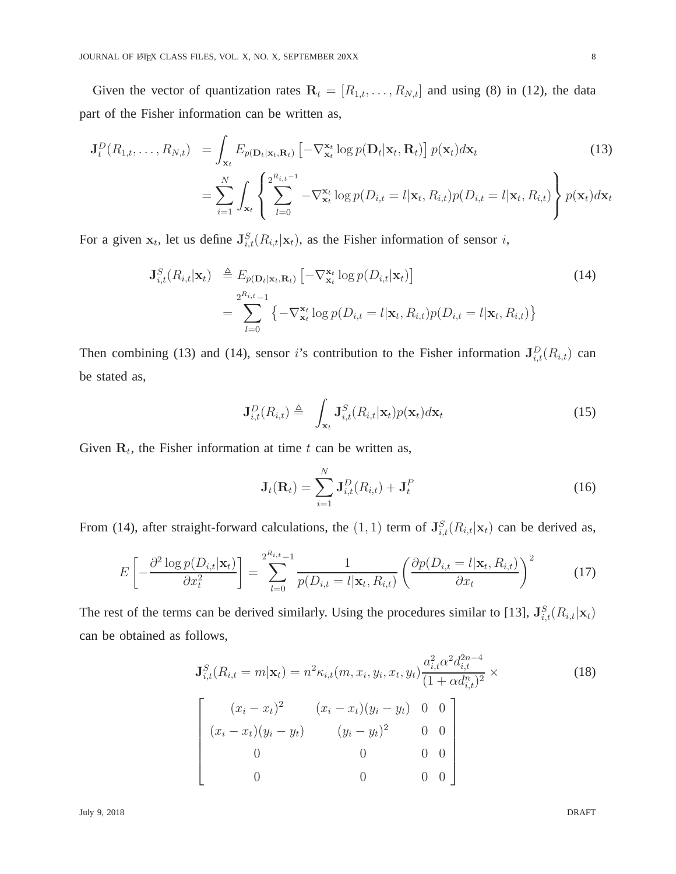Given the vector of quantization rates  $\mathbf{R}_t = [R_{1,t}, \dots, R_{N,t}]$  and using (8) in (12), the data part of the Fisher information can be written as,

$$
\mathbf{J}_t^D(R_{1,t},\ldots,R_{N,t}) = \int_{\mathbf{x}_t} E_{p(\mathbf{D}_t|\mathbf{x}_t,\mathbf{R}_t)} \left[ -\nabla_{\mathbf{x}_t}^{\mathbf{x}_t} \log p(\mathbf{D}_t|\mathbf{x}_t,\mathbf{R}_t) \right] p(\mathbf{x}_t) d\mathbf{x}_t
$$
\n
$$
= \sum_{i=1}^N \int_{\mathbf{x}_t} \left\{ \sum_{l=0}^{2^{R_{i,t}-1}} -\nabla_{\mathbf{x}_t}^{\mathbf{x}_t} \log p(D_{i,t} = l|\mathbf{x}_t, R_{i,t}) p(D_{i,t} = l|\mathbf{x}_t, R_{i,t}) \right\} p(\mathbf{x}_t) d\mathbf{x}_t
$$
\n(13)

For a given  $\mathbf{x}_t$ , let us define  $\mathbf{J}_{i,t}^S(R_{i,t}|\mathbf{x}_t)$ , as the Fisher information of sensor i,

$$
\mathbf{J}_{i,t}^{S}(R_{i,t}|\mathbf{x}_{t}) \triangleq E_{p(\mathbf{D}_{t}|\mathbf{x}_{t},\mathbf{R}_{t})}\left[-\nabla_{\mathbf{x}_{t}}^{\mathbf{x}_{t}}\log p(D_{i,t}|\mathbf{x}_{t})\right]
$$
\n
$$
= \sum_{l=0}^{2^{R_{i,t}}-1} \left\{-\nabla_{\mathbf{x}_{t}}^{\mathbf{x}_{t}}\log p(D_{i,t} = l|\mathbf{x}_{t}, R_{i,t})p(D_{i,t} = l|\mathbf{x}_{t}, R_{i,t})\right\}
$$
\n(14)

Then combining (13) and (14), sensor i's contribution to the Fisher information  $J_{i,t}^D(R_{i,t})$  can be stated as,

$$
\mathbf{J}_{i,t}^D(R_{i,t}) \triangleq \int_{\mathbf{x}_t} \mathbf{J}_{i,t}^S(R_{i,t}|\mathbf{x}_t) p(\mathbf{x}_t) d\mathbf{x}_t
$$
\n(15)

Given  $R_t$ , the Fisher information at time t can be written as,

$$
\mathbf{J}_t(\mathbf{R}_t) = \sum_{i=1}^N \mathbf{J}_{i,t}^D(R_{i,t}) + \mathbf{J}_t^P
$$
\n(16)

From (14), after straight-forward calculations, the  $(1, 1)$  term of  $J_{i,t}^{S}(R_{i,t}|\mathbf{x}_t)$  can be derived as,

$$
E\left[-\frac{\partial^2 \log p(D_{i,t}|\mathbf{x}_t)}{\partial x_t^2}\right] = \sum_{l=0}^{2^{R_{i,t}}-1} \frac{1}{p(D_{i,t} = l|\mathbf{x}_t, R_{i,t})} \left(\frac{\partial p(D_{i,t} = l|\mathbf{x}_t, R_{i,t})}{\partial x_t}\right)^2 \tag{17}
$$

The rest of the terms can be derived similarly. Using the procedures similar to [13],  $J_{i,t}^{S}(R_{i,t}|\mathbf{x}_t)$ can be obtained as follows,

$$
\mathbf{J}_{i,t}^{S}(R_{i,t} = m|\mathbf{x}_{t}) = n^{2}\kappa_{i,t}(m, x_{i}, y_{i}, x_{t}, y_{t}) \frac{a_{i,t}^{2}\alpha^{2}d_{i,t}^{2n-4}}{(1+\alpha d_{i,t}^{n})^{2}} \times
$$
\n
$$
\begin{bmatrix}\n(x_{i} - x_{t})^{2} & (x_{i} - x_{t})(y_{i} - y_{t}) & 0 & 0 \\
(x_{i} - x_{t})(y_{i} - y_{t}) & (y_{i} - y_{t})^{2} & 0 & 0 \\
0 & 0 & 0 & 0 \\
0 & 0 & 0 & 0\n\end{bmatrix}
$$
\n(18)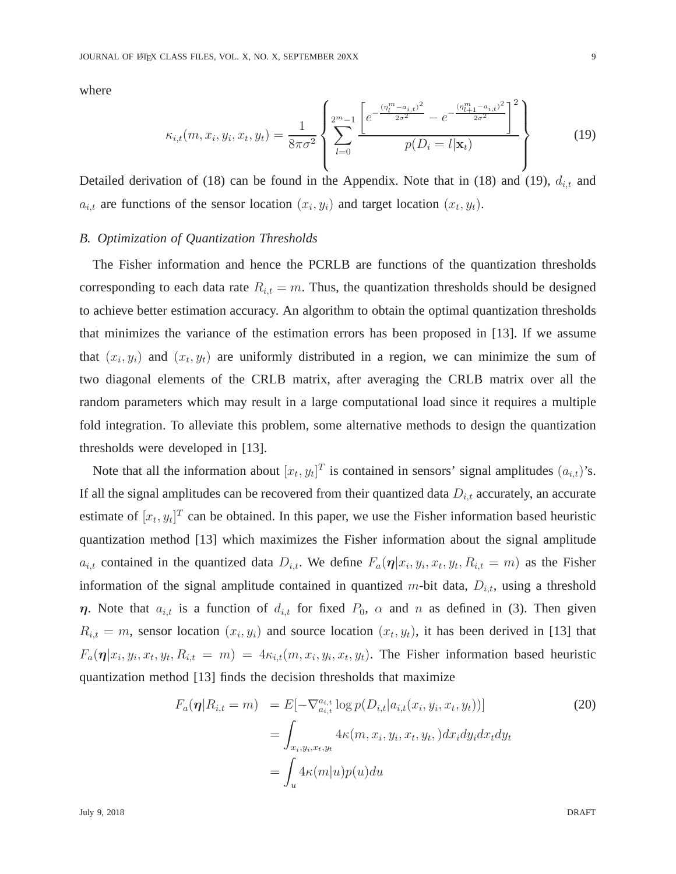where

$$
\kappa_{i,t}(m, x_i, y_i, x_t, y_t) = \frac{1}{8\pi\sigma^2} \left\{ \sum_{l=0}^{2^m-1} \frac{\left[ e^{-\frac{(\eta_l^m - a_{i,t})^2}{2\sigma^2} - e^{-\frac{(\eta_{l+1}^m - a_{i,t})^2}{2\sigma^2}}\right]^2}{p(D_i = l | \mathbf{x}_t)} \right\}
$$
(19)

Detailed derivation of (18) can be found in the Appendix. Note that in (18) and (19),  $d_{i,t}$  and  $a_{i,t}$  are functions of the sensor location  $(x_i, y_i)$  and target location  $(x_t, y_t)$ .

## *B. Optimization of Quantization Thresholds*

The Fisher information and hence the PCRLB are functions of the quantization thresholds corresponding to each data rate  $R_{i,t} = m$ . Thus, the quantization thresholds should be designed to achieve better estimation accuracy. An algorithm to obtain the optimal quantization thresholds that minimizes the variance of the estimation errors has been proposed in [13]. If we assume that  $(x_i, y_i)$  and  $(x_t, y_t)$  are uniformly distributed in a region, we can minimize the sum of two diagonal elements of the CRLB matrix, after averaging the CRLB matrix over all the random parameters which may result in a large computational load since it requires a multiple fold integration. To alleviate this problem, some alternative methods to design the quantization thresholds were developed in [13].

Note that all the information about  $[x_t, y_t]^T$  is contained in sensors' signal amplitudes  $(a_{i,t})$ 's. If all the signal amplitudes can be recovered from their quantized data  $D_{i,t}$  accurately, an accurate estimate of  $[x_t, y_t]^T$  can be obtained. In this paper, we use the Fisher information based heuristic quantization method [13] which maximizes the Fisher information about the signal amplitude  $a_{i,t}$  contained in the quantized data  $D_{i,t}$ . We define  $F_a(\eta|x_i, y_i, x_t, y_t, R_{i,t} = m)$  as the Fisher information of the signal amplitude contained in quantized m-bit data,  $D_{i,t}$ , using a threshold  $\eta$ . Note that  $a_{i,t}$  is a function of  $d_{i,t}$  for fixed  $P_0$ ,  $\alpha$  and  $n$  as defined in (3). Then given  $R_{i,t} = m$ , sensor location  $(x_i, y_i)$  and source location  $(x_t, y_t)$ , it has been derived in [13] that  $F_a(\eta|x_i, y_i, x_t, y_t, R_{i,t} = m) = 4\kappa_{i,t}(m, x_i, y_i, x_t, y_t)$ . The Fisher information based heuristic quantization method [13] finds the decision thresholds that maximize

$$
F_a(\boldsymbol{\eta}|R_{i,t} = m) = E[-\nabla_{a_{i,t}}^{a_{i,t}} \log p(D_{i,t}|a_{i,t}(x_i, y_i, x_t, y_t))]
$$
\n
$$
= \int_{x_i, y_i, x_t, y_t} 4\kappa(m, x_i, y_i, x_t, y_t, )dx_i dy_i dx_t dy_t
$$
\n
$$
= \int_u 4\kappa(m|u)p(u)du
$$
\n(20)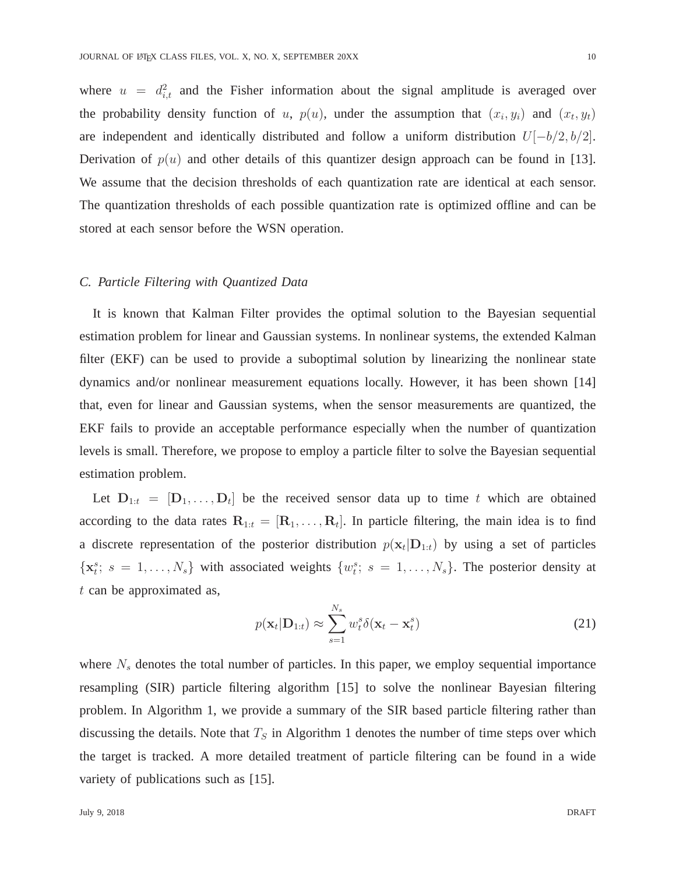where  $u = d_{i,t}^2$  and the Fisher information about the signal amplitude is averaged over the probability density function of u,  $p(u)$ , under the assumption that  $(x_i, y_i)$  and  $(x_t, y_t)$ are independent and identically distributed and follow a uniform distribution  $U[-b/2, b/2]$ . Derivation of  $p(u)$  and other details of this quantizer design approach can be found in [13]. We assume that the decision thresholds of each quantization rate are identical at each sensor. The quantization thresholds of each possible quantization rate is optimized offline and can be stored at each sensor before the WSN operation.

## *C. Particle Filtering with Quantized Data*

It is known that Kalman Filter provides the optimal solution to the Bayesian sequential estimation problem for linear and Gaussian systems. In nonlinear systems, the extended Kalman filter (EKF) can be used to provide a suboptimal solution by linearizing the nonlinear state dynamics and/or nonlinear measurement equations locally. However, it has been shown [14] that, even for linear and Gaussian systems, when the sensor measurements are quantized, the EKF fails to provide an acceptable performance especially when the number of quantization levels is small. Therefore, we propose to employ a particle filter to solve the Bayesian sequential estimation problem.

Let  $D_{1:t} = [D_1, \ldots, D_t]$  be the received sensor data up to time t which are obtained according to the data rates  $\mathbf{R}_{1:t} = [\mathbf{R}_1, \dots, \mathbf{R}_t]$ . In particle filtering, the main idea is to find a discrete representation of the posterior distribution  $p(\mathbf{x}_t | \mathbf{D}_{1:t})$  by using a set of particles  ${x_i^s; s = 1, ..., N_s}$  with associated weights  ${w_i^s; s = 1, ..., N_s}$ . The posterior density at t can be approximated as,

$$
p(\mathbf{x}_t|\mathbf{D}_{1:t}) \approx \sum_{s=1}^{N_s} w_t^s \delta(\mathbf{x}_t - \mathbf{x}_t^s)
$$
 (21)

where  $N<sub>s</sub>$  denotes the total number of particles. In this paper, we employ sequential importance resampling (SIR) particle filtering algorithm [15] to solve the nonlinear Bayesian filtering problem. In Algorithm 1, we provide a summary of the SIR based particle filtering rather than discussing the details. Note that  $T<sub>S</sub>$  in Algorithm 1 denotes the number of time steps over which the target is tracked. A more detailed treatment of particle filtering can be found in a wide variety of publications such as [15].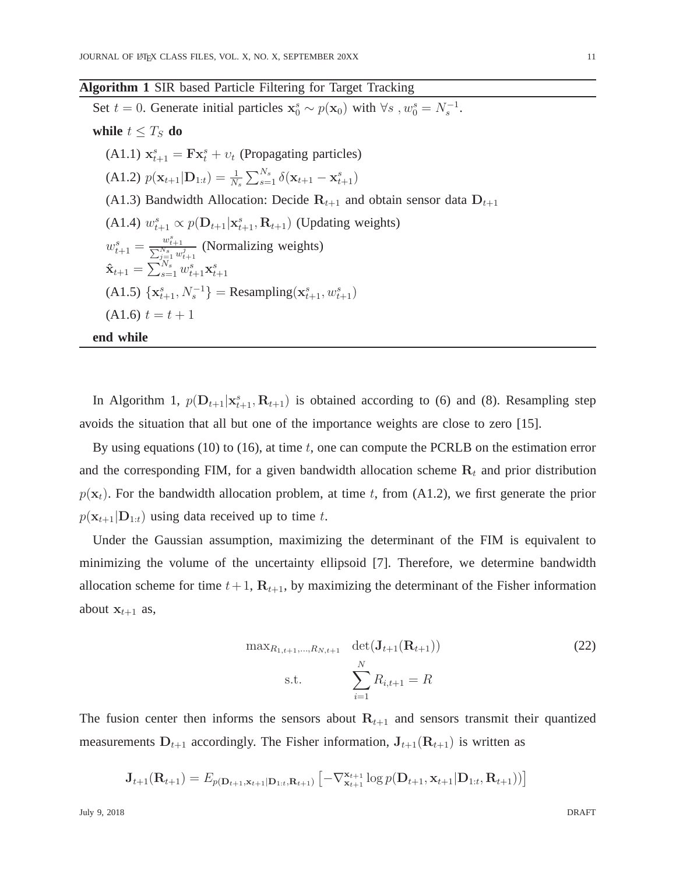# **Algorithm 1** SIR based Particle Filtering for Target Tracking

Set  $t = 0$ . Generate initial particles  $\mathbf{x}_0^s \sim p(\mathbf{x}_0)$  with  $\forall s, w_0^s = N_s^{-1}$ . **while**  $t \leq T_S$  **do** (A1.1)  $\mathbf{x}_{t+1}^s = \mathbf{F}\mathbf{x}_t^s + v_t$  (Propagating particles) (A1.2)  $p(\mathbf{x}_{t+1}|\mathbf{D}_{1:t}) = \frac{1}{N_s} \sum_{s=1}^{N_s} \delta(\mathbf{x}_{t+1} - \mathbf{x}_{t+1}^s)$ (A1.3) Bandwidth Allocation: Decide  $R_{t+1}$  and obtain sensor data  $D_{t+1}$ (A1.4)  $w_{t+1}^s \propto p(\mathbf{D}_{t+1}|\mathbf{x}_{t+1}^s, \mathbf{R}_{t+1})$  (Updating weights)  $w_{t+1}^s = \frac{w_{t+1}^s}{\sum_{j=1}^{N_s} w_{t+1}^j}$  (Normalizing weights)  $\mathbf{\hat{x}}_{t+1} = \sum_{s=1}^{N_s} w_{t+1}^s \mathbf{x}_{t+1}^s$ (A1.5)  $\{x_{t+1}^s, N_s^{-1}\}$  = Resampling $(x_{t+1}^s, w_{t+1}^s)$  $(A1.6) t = t + 1$ **end while**

In Algorithm 1,  $p(\mathbf{D}_{t+1}|\mathbf{x}_{t+1}^s, \mathbf{R}_{t+1})$  is obtained according to (6) and (8). Resampling step avoids the situation that all but one of the importance weights are close to zero [15].

By using equations (10) to (16), at time t, one can compute the PCRLB on the estimation error and the corresponding FIM, for a given bandwidth allocation scheme  $R_t$  and prior distribution  $p(\mathbf{x}_t)$ . For the bandwidth allocation problem, at time t, from (A1.2), we first generate the prior  $p(\mathbf{x}_{t+1}|\mathbf{D}_{1:t})$  using data received up to time t.

Under the Gaussian assumption, maximizing the determinant of the FIM is equivalent to minimizing the volume of the uncertainty ellipsoid [7]. Therefore, we determine bandwidth allocation scheme for time  $t+1$ ,  $\mathbf{R}_{t+1}$ , by maximizing the determinant of the Fisher information about  $x_{t+1}$  as,

$$
\max_{R_{1,t+1},...,R_{N,t+1}} \det(\mathbf{J}_{t+1}(\mathbf{R}_{t+1}))
$$
\n
$$
\text{s.t.} \qquad \sum_{i=1}^{N} R_{i,t+1} = R
$$
\n(22)

The fusion center then informs the sensors about  $R_{t+1}$  and sensors transmit their quantized measurements  $D_{t+1}$  accordingly. The Fisher information,  $J_{t+1}(R_{t+1})$  is written as

$$
\mathbf{J}_{t+1}(\mathbf{R}_{t+1}) = E_{p(\mathbf{D}_{t+1}, \mathbf{x}_{t+1} | \mathbf{D}_{1:t}, \mathbf{R}_{t+1})} \left[ -\nabla_{\mathbf{x}_{t+1}}^{\mathbf{x}_{t+1}} \log p(\mathbf{D}_{t+1}, \mathbf{x}_{t+1} | \mathbf{D}_{1:t}, \mathbf{R}_{t+1})) \right]
$$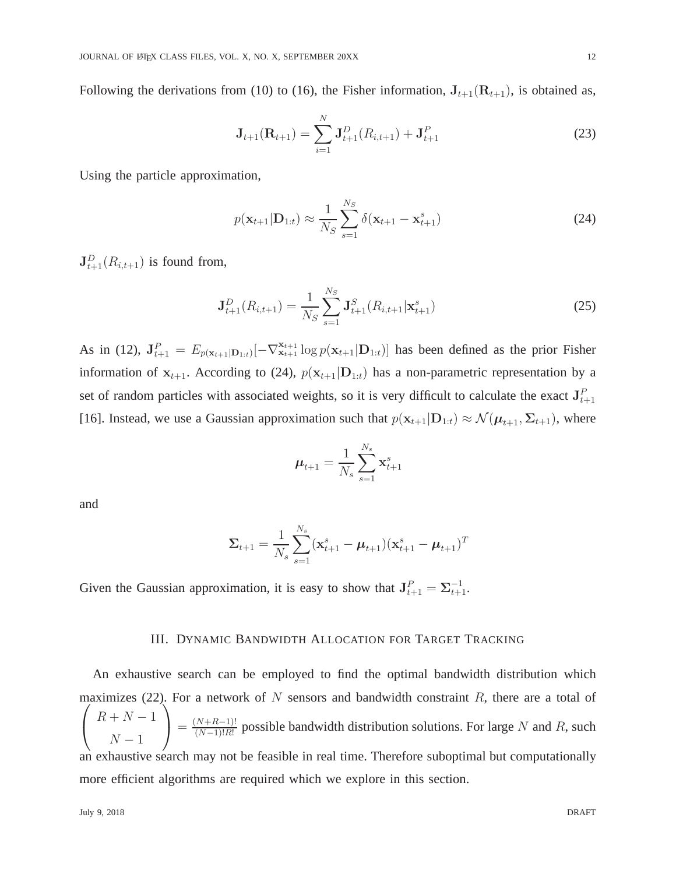Following the derivations from (10) to (16), the Fisher information,  $J_{t+1}(R_{t+1})$ , is obtained as,

$$
\mathbf{J}_{t+1}(\mathbf{R}_{t+1}) = \sum_{i=1}^{N} \mathbf{J}_{t+1}^{D}(R_{i,t+1}) + \mathbf{J}_{t+1}^{P}
$$
\n(23)

Using the particle approximation,

$$
p(\mathbf{x}_{t+1}|\mathbf{D}_{1:t}) \approx \frac{1}{N_S} \sum_{s=1}^{N_S} \delta(\mathbf{x}_{t+1} - \mathbf{x}_{t+1}^s)
$$
(24)

 $\mathbf{J}_{t+1}^D(R_{i,t+1})$  is found from,

$$
\mathbf{J}_{t+1}^D(R_{i,t+1}) = \frac{1}{N_S} \sum_{s=1}^{N_S} \mathbf{J}_{t+1}^S(R_{i,t+1}|\mathbf{x}_{t+1}^s)
$$
(25)

As in (12),  $J_{t+1}^P = E_{p(\mathbf{x}_{t+1}|\mathbf{D}_{1:t})}[-\nabla_{\mathbf{x}_{t+1}}^{\mathbf{x}_{t+1}} \log p(\mathbf{x}_{t+1}|\mathbf{D}_{1:t})]$  has been defined as the prior Fisher information of  $x_{t+1}$ . According to (24),  $p(x_{t+1} | D_{1:t})$  has a non-parametric representation by a set of random particles with associated weights, so it is very difficult to calculate the exact  $J_{t+1}^P$ [16]. Instead, we use a Gaussian approximation such that  $p(\mathbf{x}_{t+1}|\mathbf{D}_{1:t}) \approx \mathcal{N}(\boldsymbol{\mu}_{t+1}, \boldsymbol{\Sigma}_{t+1})$ , where

$$
\mu_{t+1} = \frac{1}{N_s} \sum_{s=1}^{N_s} \mathbf{x}_{t+1}^s
$$

and

$$
\Sigma_{t+1} = \frac{1}{N_s} \sum_{s=1}^{N_s} (\mathbf{x}_{t+1}^s - \boldsymbol{\mu}_{t+1}) (\mathbf{x}_{t+1}^s - \boldsymbol{\mu}_{t+1})^T
$$

Given the Gaussian approximation, it is easy to show that  $J_{t+1}^P = \sum_{t+1}^{-1}$ .

# III. DYNAMIC BANDWIDTH ALLOCATION FOR TARGET TRACKING

An exhaustive search can be employed to find the optimal bandwidth distribution which  $\sqrt{ }$ maximizes (22). For a network of  $N$  sensors and bandwidth constraint  $R$ , there are a total of  $\overline{1}$  $R + N - 1$  $N-1$  $\setminus$  $= \frac{(N+R-1)!}{(N-1)!R!}$  $\frac{N+R-1!}{(N-1)!R!}$  possible bandwidth distribution solutions. For large N and R, such an exhaustive search may not be feasible in real time. Therefore suboptimal but computationally more efficient algorithms are required which we explore in this section.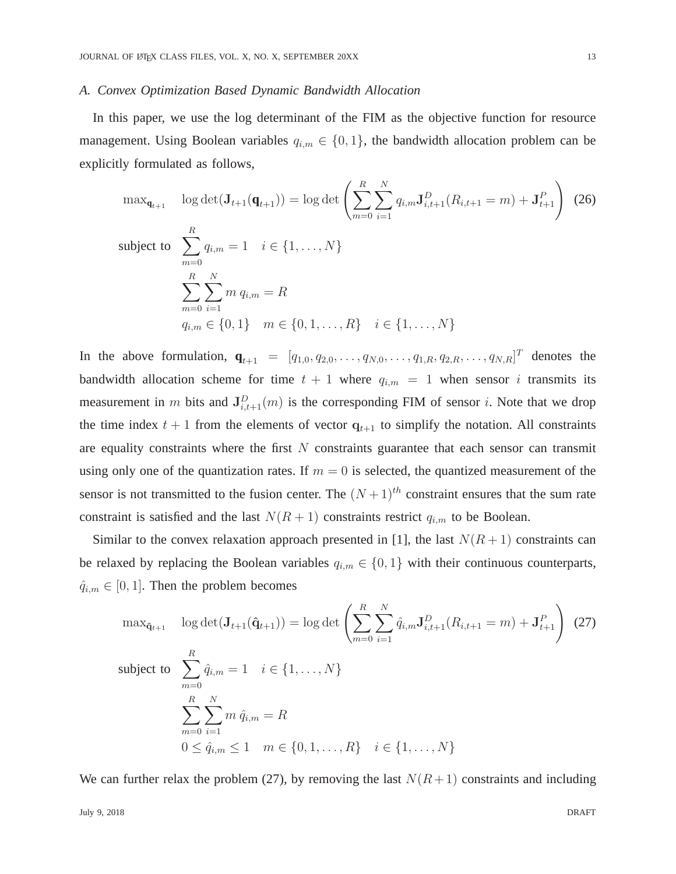# *A. Convex Optimization Based Dynamic Bandwidth Allocation*

In this paper, we use the log determinant of the FIM as the objective function for resource management. Using Boolean variables  $q_{i,m} \in \{0,1\}$ , the bandwidth allocation problem can be explicitly formulated as follows,

$$
\max_{\mathbf{q}_{t+1}} \log \det(\mathbf{J}_{t+1}(\mathbf{q}_{t+1})) = \log \det \left( \sum_{m=0}^{R} \sum_{i=1}^{N} q_{i,m} \mathbf{J}_{i,t+1}^{D}(R_{i,t+1} = m) + \mathbf{J}_{t+1}^{P} \right)
$$
(26)  
subject to 
$$
\sum_{m=0}^{R} q_{i,m} = 1 \quad i \in \{1, ..., N\}
$$

$$
\sum_{m=0}^{R} \sum_{i=1}^{N} m q_{i,m} = R
$$

$$
q_{i,m} \in \{0, 1\} \quad m \in \{0, 1, ..., R\} \quad i \in \{1, ..., N\}
$$

In the above formulation,  $\mathbf{q}_{t+1} = [q_{1,0}, q_{2,0}, \dots, q_{N,0}, \dots, q_{1,R}, q_{2,R}, \dots, q_{N,R}]^T$  denotes the bandwidth allocation scheme for time  $t + 1$  where  $q_{i,m} = 1$  when sensor i transmits its measurement in m bits and  $J_{i,t+1}^D(m)$  is the corresponding FIM of sensor i. Note that we drop the time index  $t + 1$  from the elements of vector  $q_{t+1}$  to simplify the notation. All constraints are equality constraints where the first  $N$  constraints guarantee that each sensor can transmit using only one of the quantization rates. If  $m = 0$  is selected, the quantized measurement of the sensor is not transmitted to the fusion center. The  $(N+1)$ <sup>th</sup> constraint ensures that the sum rate constraint is satisfied and the last  $N(R + 1)$  constraints restrict  $q_{i,m}$  to be Boolean.

Similar to the convex relaxation approach presented in [1], the last  $N(R+1)$  constraints can be relaxed by replacing the Boolean variables  $q_{i,m} \in \{0,1\}$  with their continuous counterparts,  $\hat{q}_{i,m} \in [0, 1]$ . Then the problem becomes

$$
\max_{\hat{\mathbf{q}}_{t+1}} \log \det(\mathbf{J}_{t+1}(\hat{\mathbf{q}}_{t+1})) = \log \det \left( \sum_{m=0}^{R} \sum_{i=1}^{N} \hat{q}_{i,m} \mathbf{J}_{i,t+1}^{D}(R_{i,t+1} = m) + \mathbf{J}_{t+1}^{P} \right) (27)
$$
\n
$$
\text{subject to } \sum_{m=0}^{R} \hat{q}_{i,m} = 1 \quad i \in \{1, \dots, N\}
$$
\n
$$
\sum_{m=0}^{R} \sum_{i=1}^{N} m \hat{q}_{i,m} = R
$$
\n
$$
0 \leq \hat{q}_{i,m} \leq 1 \quad m \in \{0, 1, \dots, R\} \quad i \in \{1, \dots, N\}
$$

We can further relax the problem (27), by removing the last  $N(R+1)$  constraints and including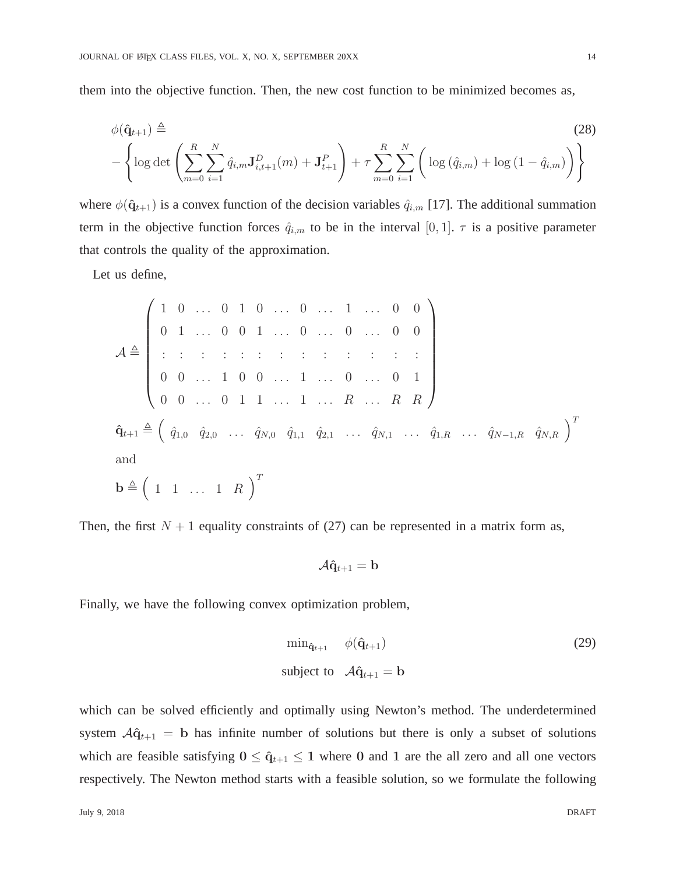them into the objective function. Then, the new cost function to be minimized becomes as,

$$
\phi(\hat{\mathbf{q}}_{t+1}) \triangleq (28) \n- \left\{ \log \det \left( \sum_{m=0}^{R} \sum_{i=1}^{N} \hat{q}_{i,m} \mathbf{J}_{i,t+1}^{D}(m) + \mathbf{J}_{t+1}^{P} \right) + \tau \sum_{m=0}^{R} \sum_{i=1}^{N} \left( \log \left( \hat{q}_{i,m} \right) + \log \left( 1 - \hat{q}_{i,m} \right) \right) \right\}
$$
\n(28)

where  $\phi(\hat{\mathbf{q}}_{t+1})$  is a convex function of the decision variables  $\hat{q}_{i,m}$  [17]. The additional summation term in the objective function forces  $\hat{q}_{i,m}$  to be in the interval [0, 1].  $\tau$  is a positive parameter that controls the quality of the approximation.

Let us define,

<sup>A</sup> , 1 0 . . . 0 1 0 . . . 0 . . . 1 . . . 0 0 0 1 . . . 0 0 1 . . . 0 . . . 0 . . . 0 0 : : : : : : : : : : : : : 0 0 . . . 1 0 0 . . . 1 . . . 0 . . . 0 1 0 0 . . . 0 1 1 . . . 1 . . . R . . . R R ˆqt+1 , <sup>q</sup>ˆ1,<sup>0</sup> <sup>q</sup>ˆ2,<sup>0</sup> . . . <sup>q</sup>ˆN,<sup>0</sup> <sup>q</sup>ˆ1,<sup>1</sup> <sup>q</sup>ˆ2,<sup>1</sup> . . . <sup>q</sup>ˆN,<sup>1</sup> . . . <sup>q</sup>ˆ1,R . . . <sup>q</sup>ˆN−1,R <sup>q</sup>ˆN,R <sup>T</sup> and b , 1 1 . . . 1 R T

Then, the first  $N + 1$  equality constraints of (27) can be represented in a matrix form as,

$$
\mathcal{A}\hat{\mathbf{q}}_{t+1}=\mathbf{b}
$$

Finally, we have the following convex optimization problem,

$$
\min_{\hat{\mathbf{q}}_{t+1}} \phi(\hat{\mathbf{q}}_{t+1})
$$
\nsubject to

\n
$$
\mathcal{A}\hat{\mathbf{q}}_{t+1} = \mathbf{b}
$$
\n(29)

which can be solved efficiently and optimally using Newton's method. The underdetermined system  $\hat{A} \hat{q}_{t+1} = b$  has infinite number of solutions but there is only a subset of solutions which are feasible satisfying  $0 \le \hat{q}_{t+1} \le 1$  where 0 and 1 are the all zero and all one vectors respectively. The Newton method starts with a feasible solution, so we formulate the following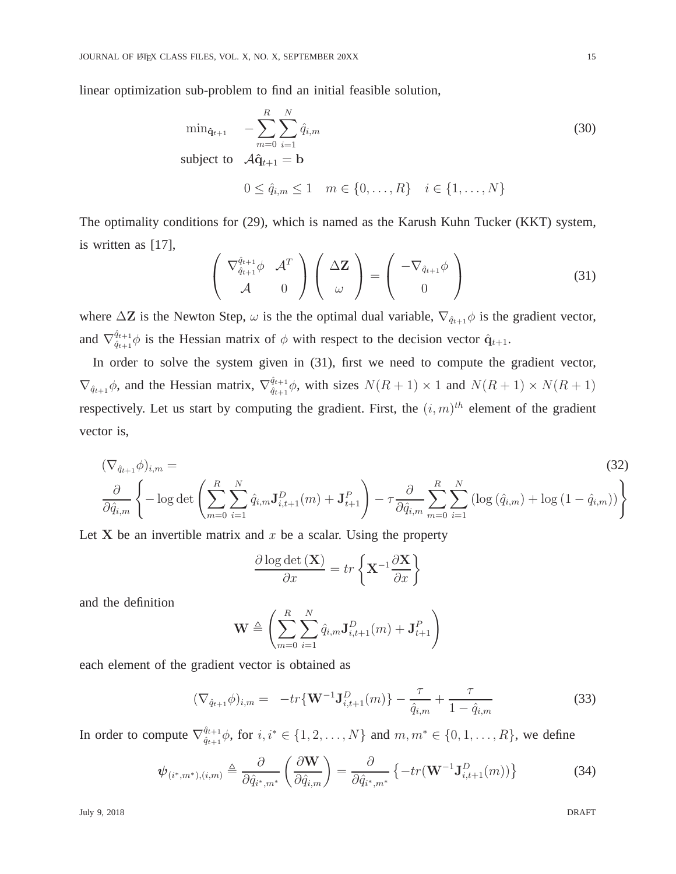linear optimization sub-problem to find an initial feasible solution,

$$
\min_{\hat{\mathbf{q}}_{t+1}} \quad -\sum_{m=0}^{R} \sum_{i=1}^{N} \hat{q}_{i,m} \tag{30}
$$
\n
$$
\text{subject to} \quad \mathcal{A}\hat{\mathbf{q}}_{t+1} = \mathbf{b}
$$
\n
$$
0 \le \hat{q}_{i,m} \le 1 \quad m \in \{0, \dots, R\} \quad i \in \{1, \dots, N\}
$$

The optimality conditions for (29), which is named as the Karush Kuhn Tucker (KKT) system, is written as [17],

$$
\begin{pmatrix}\n\nabla_{\hat{q}_{t+1}}^{\hat{q}_{t+1}} \phi & \mathcal{A}^T \\
\mathcal{A} & 0\n\end{pmatrix}\n\begin{pmatrix}\n\Delta \mathbf{Z} \\
\omega\n\end{pmatrix} = \begin{pmatrix}\n-\nabla_{\hat{q}_{t+1}} \phi \\
0\n\end{pmatrix}
$$
\n(31)

where  $\Delta Z$  is the Newton Step,  $\omega$  is the the optimal dual variable,  $\nabla_{\hat{q}_{t+1}}\phi$  is the gradient vector, and  $\nabla_{\hat{q}_{t+1}}^{\hat{q}_{t+1}}$  $q_{t+1}^{q_{t+1}}\phi$  is the Hessian matrix of  $\phi$  with respect to the decision vector  $\hat{\mathbf{q}}_{t+1}$ .

In order to solve the system given in (31), first we need to compute the gradient vector,  $\nabla_{\hat{q}_{t+1}} \phi$ , and the Hessian matrix,  $\nabla_{\hat{q}_{t+1}}^{\hat{q}_{t+1}}$  $q_{i+1}^{q_{t+1}}\phi$ , with sizes  $N(R+1) \times 1$  and  $N(R+1) \times N(R+1)$ respectively. Let us start by computing the gradient. First, the  $(i, m)^{th}$  element of the gradient vector is,

$$
(\nabla_{\hat{q}_{t+1}}\phi)_{i,m} =
$$
\n
$$
\frac{\partial}{\partial \hat{q}_{i,m}} \left\{-\log \det \left(\sum_{m=0}^{R} \sum_{i=1}^{N} \hat{q}_{i,m} \mathbf{J}_{i,t+1}^{D}(m) + \mathbf{J}_{t+1}^{P}\right) - \tau \frac{\partial}{\partial \hat{q}_{i,m}} \sum_{m=0}^{R} \sum_{i=1}^{N} \left(\log \left(\hat{q}_{i,m}\right) + \log \left(1 - \hat{q}_{i,m}\right)\right)\right\}
$$
\n(32)

Let X be an invertible matrix and  $x$  be a scalar. Using the property

$$
\frac{\partial \log \det\left(\mathbf{X}\right)}{\partial x} = tr\left\{\mathbf{X}^{-1} \frac{\partial \mathbf{X}}{\partial x}\right\}
$$

and the definition

$$
\mathbf{W} \triangleq \left( \sum_{m=0}^{R} \sum_{i=1}^{N} \hat{q}_{i,m} \mathbf{J}_{i,t+1}^{D}(m) + \mathbf{J}_{t+1}^{P} \right)
$$

each element of the gradient vector is obtained as

$$
(\nabla_{\hat{q}_{t+1}} \phi)_{i,m} = -tr\{\mathbf{W}^{-1}\mathbf{J}_{i,t+1}^D(m)\} - \frac{\tau}{\hat{q}_{i,m}} + \frac{\tau}{1 - \hat{q}_{i,m}}
$$
(33)

In order to compute  $\nabla_{\hat{q}_{t+1}}^{\hat{q}_{t+1}}$  $q_{i+1}^{q_{i+1}}\phi$ , for  $i, i^* \in \{1, 2, ..., N\}$  and  $m, m^* \in \{0, 1, ..., R\}$ , we define

$$
\boldsymbol{\psi}_{(i^*,m^*),(i,m)} \triangleq \frac{\partial}{\partial \hat{q}_{i^*,m^*}} \left( \frac{\partial \mathbf{W}}{\partial \hat{q}_{i,m}} \right) = \frac{\partial}{\partial \hat{q}_{i^*,m^*}} \left\{ -tr(\mathbf{W}^{-1} \mathbf{J}_{i,t+1}^D(m)) \right\}
$$
(34)

July 9, 2018 DRAFT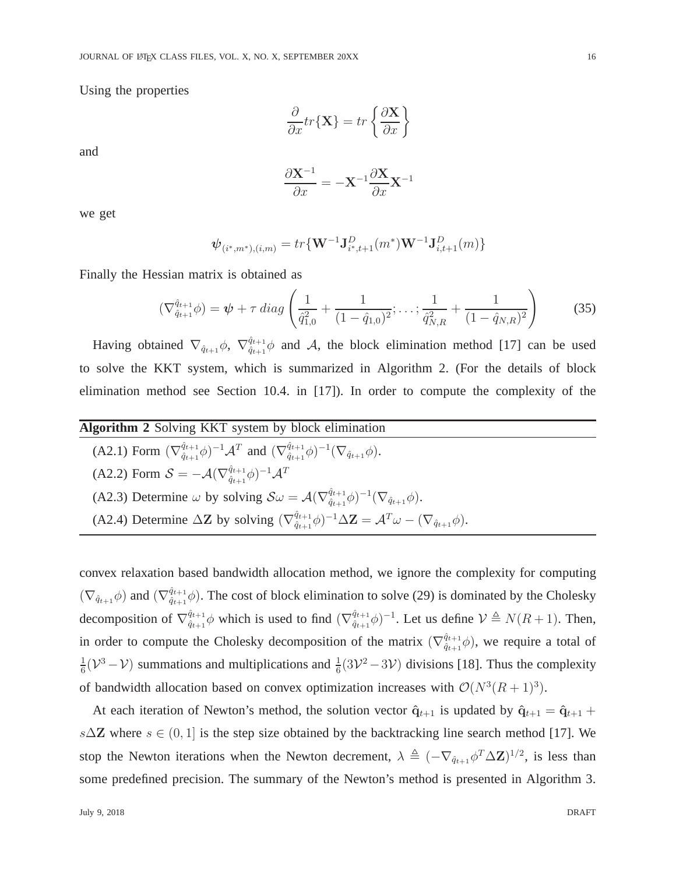Using the properties

$$
\frac{\partial}{\partial x}tr\{\mathbf{X}\} = tr\left\{\frac{\partial \mathbf{X}}{\partial x}\right\}
$$

and

$$
\frac{\partial \mathbf{X}^{-1}}{\partial x} = -\mathbf{X}^{-1} \frac{\partial \mathbf{X}}{\partial x} \mathbf{X}^{-1}
$$

we get

$$
\boldsymbol{\psi}_{(i^*,m^*),(i,m)} = tr\{\mathbf{W}^{-1}\mathbf{J}_{i^*,t+1}^D(m^*)\mathbf{W}^{-1}\mathbf{J}_{i,t+1}^D(m)\}
$$

Finally the Hessian matrix is obtained as

$$
(\nabla_{\hat{q}_{t+1}}^{\hat{q}_{t+1}} \phi) = \psi + \tau \operatorname{diag}\left(\frac{1}{\hat{q}_{1,0}^2} + \frac{1}{(1 - \hat{q}_{1,0})^2}; \dots; \frac{1}{\hat{q}_{N,R}^2} + \frac{1}{(1 - \hat{q}_{N,R})^2}\right) \tag{35}
$$

Having obtained  $\nabla_{\hat{q}_{t+1}} \phi$ ,  $\nabla_{\hat{q}_{t+1}}^{\hat{q}_{t+1}}$  $q_{i+1}^{q_{t+1}}\phi$  and A, the block elimination method [17] can be used to solve the KKT system, which is summarized in Algorithm 2. (For the details of block elimination method see Section 10.4. in [17]). In order to compute the complexity of the

| <b>Algorithm 2 Solving KKT system by block elimination</b>                                                                                                                      |  |  |  |  |  |
|---------------------------------------------------------------------------------------------------------------------------------------------------------------------------------|--|--|--|--|--|
| (A2.1) Form $(\nabla_{\hat{q}_{t+1}}^{\hat{q}_{t+1}} \phi)^{-1} \mathcal{A}^T$ and $(\nabla_{\hat{q}_{t+1}}^{\hat{q}_{t+1}} \phi)^{-1} (\nabla_{\hat{q}_{t+1}} \phi)$ .         |  |  |  |  |  |
| (A2.2) Form $S = -\mathcal{A}(\nabla_{\hat{g}_{t+1}}^{\hat{q}_{t+1}} \phi)^{-1} \mathcal{A}^T$                                                                                  |  |  |  |  |  |
| (A2.3) Determine $\omega$ by solving $\mathcal{S}\omega = \mathcal{A}(\nabla_{\hat{a}_{t+1}}^{\hat{q}_{t+1}}\phi)^{-1}(\nabla_{\hat{q}_{t+1}}\phi)$ .                           |  |  |  |  |  |
| (A2.4) Determine $\Delta \mathbf{Z}$ by solving $(\nabla_{\hat{a}_{t+1}}^{\hat{a}_{t+1}} \phi)^{-1} \Delta \mathbf{Z} = \mathcal{A}^T \omega - (\nabla_{\hat{a}_{t+1}} \phi)$ . |  |  |  |  |  |

convex relaxation based bandwidth allocation method, we ignore the complexity for computing  $(\nabla_{\hat{q}_{t+1}}\phi)$  and  $(\nabla_{\hat{q}_{t+1}}^{\hat{q}_{t+1}})$  $\frac{q_{t+1}}{q_{t+1}}\phi$ ). The cost of block elimination to solve (29) is dominated by the Cholesky decomposition of  $\nabla_{\hat{q}_{t+1}}^{\hat{q}_{t+1}}$  $\frac{\hat{q}_{t+1}}{\hat{q}_{t+1}}\phi$  which is used to find  $(\nabla \frac{\hat{q}_{t+1}}{\hat{q}_{t+1}})$  $\frac{\hat{q}_{t+1}}{\hat{q}_{t+1}}\phi$ )<sup>-1</sup>. Let us define  $\mathcal{V} \triangleq N(R+1)$ . Then, in order to compute the Cholesky decomposition of the matrix  $(\nabla_{\hat{q}_{t+1}}^{\hat{q}_{t+1}})$  $\binom{q_{t+1}}{\hat{q}_{t+1}}$  $\phi$ ), we require a total of 1  $\frac{1}{6}(\mathcal{V}^3-\mathcal{V})$  summations and multiplications and  $\frac{1}{6}(3\mathcal{V}^2-3\mathcal{V})$  divisions [18]. Thus the complexity of bandwidth allocation based on convex optimization increases with  $\mathcal{O}(N^3(R+1)^3)$ .

At each iteration of Newton's method, the solution vector  $\hat{q}_{t+1}$  is updated by  $\hat{q}_{t+1} = \hat{q}_{t+1} + \hat{q}_{t+1}$ s∆Z where  $s \in (0,1]$  is the step size obtained by the backtracking line search method [17]. We stop the Newton iterations when the Newton decrement,  $\lambda \triangleq (-\nabla_{\hat{q}_{t+1}} \phi^T \Delta \mathbf{Z})^{1/2}$ , is less than some predefined precision. The summary of the Newton's method is presented in Algorithm 3.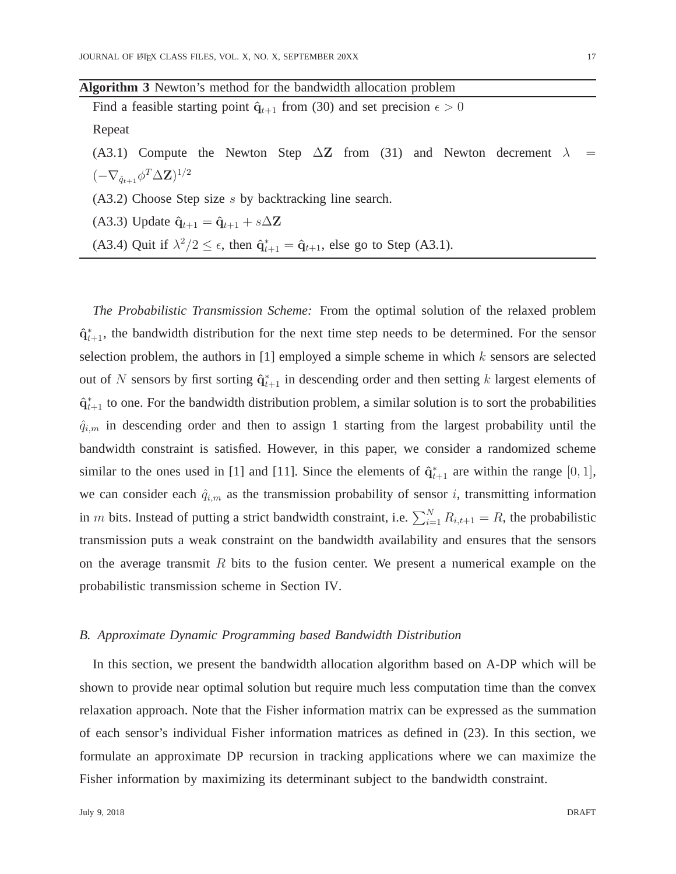Find a feasible starting point  $\hat{q}_{t+1}$  from (30) and set precision  $\epsilon > 0$ Repeat (A3.1) Compute the Newton Step  $\Delta Z$  from (31) and Newton decrement  $\lambda$  =  $(-\nabla_{\hat{q}_{t+1}}\phi^T\Delta \mathbf{Z})^{1/2}$ (A3.2) Choose Step size s by backtracking line search. (A3.3) Update  $\hat{\mathbf{q}}_{t+1} = \hat{\mathbf{q}}_{t+1} + s\Delta \mathbf{Z}$ (A3.4) Quit if  $\lambda^2/2 \leq \epsilon$ , then  $\hat{\mathbf{q}}_{t+1}^* = \hat{\mathbf{q}}_{t+1}$ , else go to Step (A3.1).

*The Probabilistic Transmission Scheme:* From the optimal solution of the relaxed problem  $\hat{q}_{t+1}^*$ , the bandwidth distribution for the next time step needs to be determined. For the sensor selection problem, the authors in  $[1]$  employed a simple scheme in which k sensors are selected out of N sensors by first sorting  $\hat{q}_{t+1}^*$  in descending order and then setting k largest elements of  $\hat{q}_{t+1}^*$  to one. For the bandwidth distribution problem, a similar solution is to sort the probabilities  $\hat{q}_{i,m}$  in descending order and then to assign 1 starting from the largest probability until the bandwidth constraint is satisfied. However, in this paper, we consider a randomized scheme similar to the ones used in [1] and [11]. Since the elements of  $\hat{\mathbf{q}}_{t+1}^*$  are within the range [0, 1], we can consider each  $\hat{q}_{i,m}$  as the transmission probability of sensor i, transmitting information in m bits. Instead of putting a strict bandwidth constraint, i.e.  $\sum_{i=1}^{N} R_{i,t+1} = R$ , the probabilistic transmission puts a weak constraint on the bandwidth availability and ensures that the sensors on the average transmit  $R$  bits to the fusion center. We present a numerical example on the probabilistic transmission scheme in Section IV.

#### *B. Approximate Dynamic Programming based Bandwidth Distribution*

In this section, we present the bandwidth allocation algorithm based on A-DP which will be shown to provide near optimal solution but require much less computation time than the convex relaxation approach. Note that the Fisher information matrix can be expressed as the summation of each sensor's individual Fisher information matrices as defined in (23). In this section, we formulate an approximate DP recursion in tracking applications where we can maximize the Fisher information by maximizing its determinant subject to the bandwidth constraint.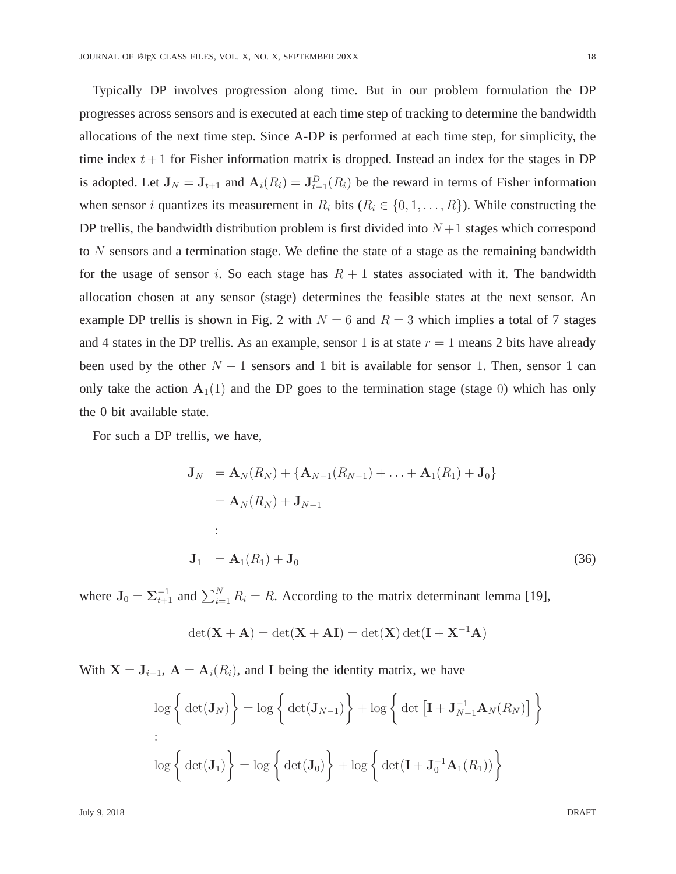Typically DP involves progression along time. But in our problem formulation the DP progresses across sensors and is executed at each time step of tracking to determine the bandwidth allocations of the next time step. Since A-DP is performed at each time step, for simplicity, the time index  $t+1$  for Fisher information matrix is dropped. Instead an index for the stages in DP is adopted. Let  $J_N = J_{t+1}$  and  $A_i(R_i) = J_{t+1}^D(R_i)$  be the reward in terms of Fisher information when sensor *i* quantizes its measurement in  $R_i$  bits  $(R_i \in \{0, 1, \ldots, R\})$ . While constructing the DP trellis, the bandwidth distribution problem is first divided into  $N+1$  stages which correspond to N sensors and a termination stage. We define the state of a stage as the remaining bandwidth for the usage of sensor i. So each stage has  $R + 1$  states associated with it. The bandwidth allocation chosen at any sensor (stage) determines the feasible states at the next sensor. An example DP trellis is shown in Fig. 2 with  $N = 6$  and  $R = 3$  which implies a total of 7 stages and 4 states in the DP trellis. As an example, sensor 1 is at state  $r = 1$  means 2 bits have already been used by the other  $N - 1$  sensors and 1 bit is available for sensor 1. Then, sensor 1 can only take the action  $A_1(1)$  and the DP goes to the termination stage (stage 0) which has only the 0 bit available state.

For such a DP trellis, we have,

$$
\mathbf{J}_N = \mathbf{A}_N(R_N) + \{ \mathbf{A}_{N-1}(R_{N-1}) + \dots + \mathbf{A}_1(R_1) + \mathbf{J}_0 \}
$$
  
=  $\mathbf{A}_N(R_N) + \mathbf{J}_{N-1}$   
:  

$$
\mathbf{J}_1 = \mathbf{A}_1(R_1) + \mathbf{J}_0
$$
 (36)

where  $J_0 = \sum_{i=1}^{-1}$  and  $\sum_{i=1}^{N} R_i = R$ . According to the matrix determinant lemma [19],

$$
\det(\mathbf{X} + \mathbf{A}) = \det(\mathbf{X} + \mathbf{A}\mathbf{I}) = \det(\mathbf{X})\det(\mathbf{I} + \mathbf{X}^{-1}\mathbf{A})
$$

With  $X = J_{i-1}$ ,  $A = A_i(R_i)$ , and I being the identity matrix, we have

$$
\log \left\{ \det(\mathbf{J}_N) \right\} = \log \left\{ \det(\mathbf{J}_{N-1}) \right\} + \log \left\{ \det[\mathbf{I} + \mathbf{J}_{N-1}^{-1} \mathbf{A}_N(R_N)] \right\}
$$
  
:  

$$
\log \left\{ \det(\mathbf{J}_1) \right\} = \log \left\{ \det(\mathbf{J}_0) \right\} + \log \left\{ \det(\mathbf{I} + \mathbf{J}_0^{-1} \mathbf{A}_1(R_1)) \right\}
$$

July 9, 2018 DRAFT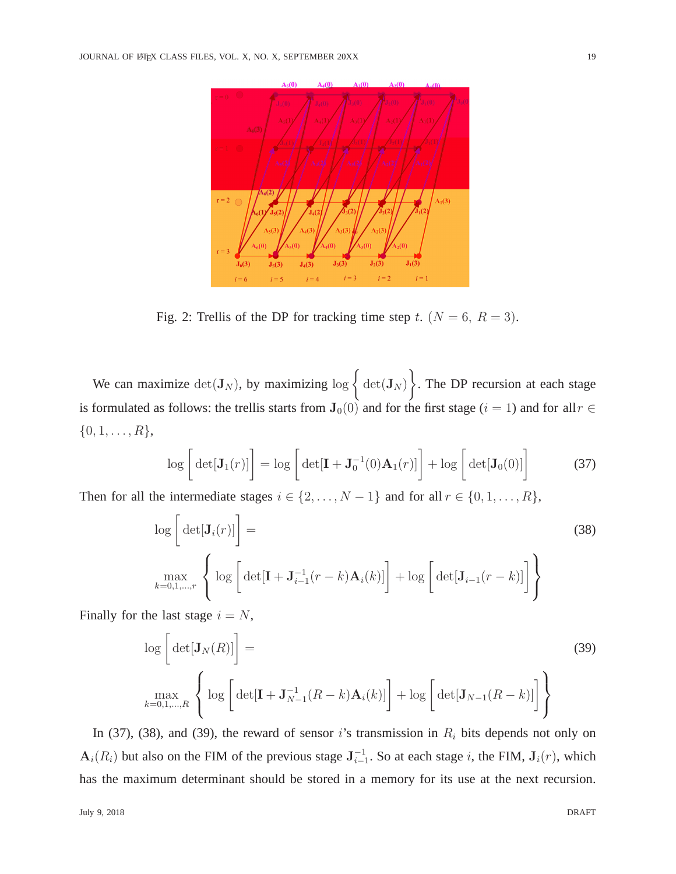

Fig. 2: Trellis of the DP for tracking time step t.  $(N = 6, R = 3)$ .

We can maximize  $\det(\mathbf{J}_N)$ , by maximizing  $\log \left\{ \det(\mathbf{J}_N) \right\}$ . The DP recursion at each stage is formulated as follows: the trellis starts from  $J_0(0)$  and for the first stage ( $i = 1$ ) and for all  $r \in$  $\{0, 1, \ldots, R\},\$ 

$$
\log\left[\det[\mathbf{J}_1(r)]\right] = \log\left[\det[\mathbf{I} + \mathbf{J}_0^{-1}(0)\mathbf{A}_1(r)]\right] + \log\left[\det[\mathbf{J}_0(0)]\right]
$$
(37)

Then for all the intermediate stages  $i \in \{2, \ldots, N-1\}$  and for all  $r \in \{0, 1, \ldots, R\}$ ,

$$
\log \left[ \det[\mathbf{J}_i(r)] \right] =
$$
\n
$$
\max_{k=0,1,\dots,r} \left\{ \log \left[ \det[\mathbf{I} + \mathbf{J}_{i-1}^{-1}(r-k)\mathbf{A}_i(k)] \right] + \log \left[ \det[\mathbf{J}_{i-1}(r-k)] \right] \right\}
$$
\n(38)

Finally for the last stage  $i = N$ ,

$$
\log \left[ \det[\mathbf{J}_N(R)] \right] =
$$
\n
$$
\max_{k=0,1,\dots,R} \left\{ \log \left[ \det[\mathbf{I} + \mathbf{J}_{N-1}^{-1}(R-k)\mathbf{A}_i(k)] \right] + \log \left[ \det[\mathbf{J}_{N-1}(R-k)] \right] \right\}
$$
\n(39)

In (37), (38), and (39), the reward of sensor i's transmission in  $R_i$  bits depends not only on  $\mathbf{A}_i(R_i)$  but also on the FIM of the previous stage  $\mathbf{J}_{i-1}^{-1}$  $\frac{-1}{i-1}$ . So at each stage i, the FIM,  $J_i(r)$ , which has the maximum determinant should be stored in a memory for its use at the next recursion.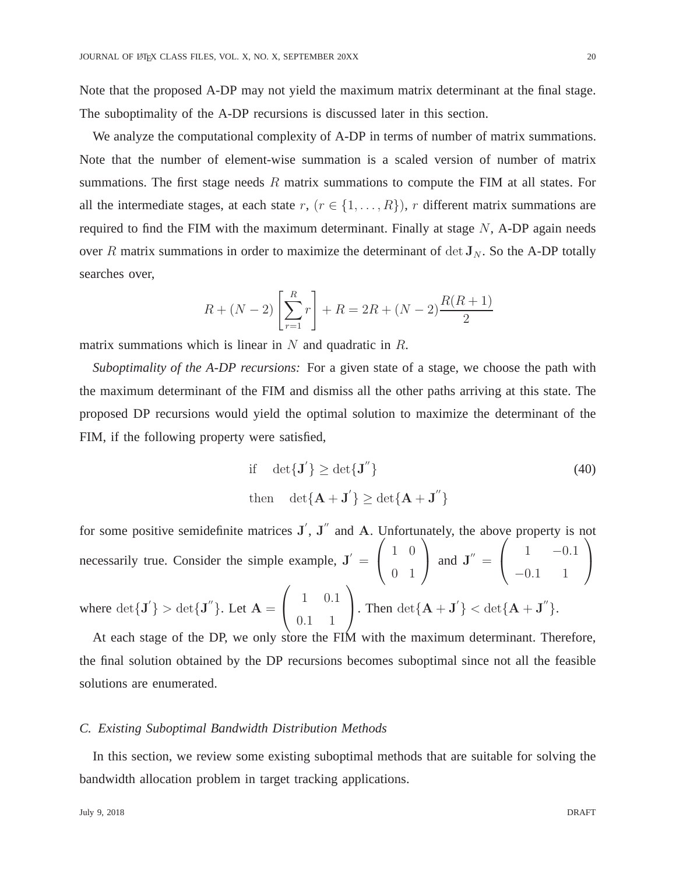Note that the proposed A-DP may not yield the maximum matrix determinant at the final stage. The suboptimality of the A-DP recursions is discussed later in this section.

We analyze the computational complexity of A-DP in terms of number of matrix summations. Note that the number of element-wise summation is a scaled version of number of matrix summations. The first stage needs  $R$  matrix summations to compute the FIM at all states. For all the intermediate stages, at each state r,  $(r \in \{1, ..., R\})$ , r different matrix summations are required to find the FIM with the maximum determinant. Finally at stage  $N$ , A-DP again needs over R matrix summations in order to maximize the determinant of det  $J_N$ . So the A-DP totally searches over,

$$
R + (N - 2) \left[ \sum_{r=1}^{R} r \right] + R = 2R + (N - 2) \frac{R(R + 1)}{2}
$$

matrix summations which is linear in  $N$  and quadratic in  $R$ .

*Suboptimality of the A-DP recursions:* For a given state of a stage, we choose the path with the maximum determinant of the FIM and dismiss all the other paths arriving at this state. The proposed DP recursions would yield the optimal solution to maximize the determinant of the FIM, if the following property were satisfied,

if 
$$
\det{\mathbf{J}'}
$$
  $\ge \det{\mathbf{J}''}$  (40)  
then  $\det{\mathbf{A} + \mathbf{J}'}$   $\ge \det{\mathbf{A} + \mathbf{J}''}$ 

for some positive semidefinite matrices  $J'$ ,  $J''$  and A. Unfortunately, the above property is not necessarily true. Consider the simple example,  $J' =$  $\sqrt{ }$  $\overline{1}$ 1 0 0 1  $\setminus$ and  $J'' =$  $\sqrt{ }$  $\overline{1}$  $1 -0.1$  $-0.1$  1  $\setminus$  $\overline{1}$ where  $\det\{\mathbf{J}'\} > \det\{\mathbf{J}''\}$ . Let  $\mathbf{A} =$  $\sqrt{ }$  $\overline{1}$ 1 0.1 0.1 1  $\setminus$ Then  $\det\{\mathbf{A} + \mathbf{J}'\} < \det\{\mathbf{A} + \mathbf{J}''\}.$ 

At each stage of the DP, we only store the FIM with the maximum determinant. Therefore, the final solution obtained by the DP recursions becomes suboptimal since not all the feasible solutions are enumerated.

## *C. Existing Suboptimal Bandwidth Distribution Methods*

In this section, we review some existing suboptimal methods that are suitable for solving the bandwidth allocation problem in target tracking applications.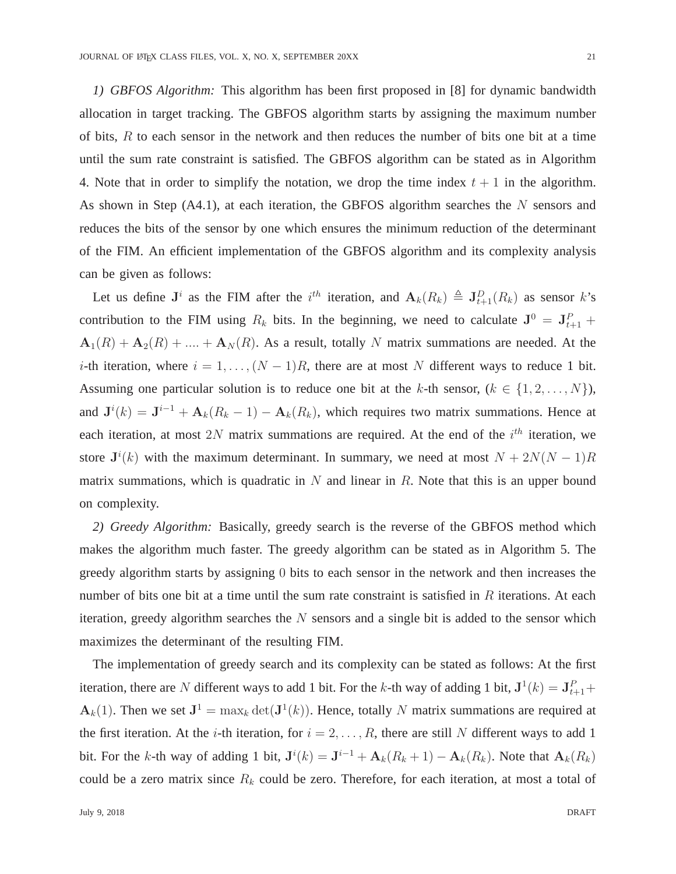*1) GBFOS Algorithm:* This algorithm has been first proposed in [8] for dynamic bandwidth allocation in target tracking. The GBFOS algorithm starts by assigning the maximum number of bits,  $R$  to each sensor in the network and then reduces the number of bits one bit at a time until the sum rate constraint is satisfied. The GBFOS algorithm can be stated as in Algorithm 4. Note that in order to simplify the notation, we drop the time index  $t + 1$  in the algorithm. As shown in Step  $(A4.1)$ , at each iteration, the GBFOS algorithm searches the N sensors and reduces the bits of the sensor by one which ensures the minimum reduction of the determinant of the FIM. An efficient implementation of the GBFOS algorithm and its complexity analysis can be given as follows:

Let us define  $J^i$  as the FIM after the  $i^{th}$  iteration, and  $A_k(R_k) \triangleq J_{t+1}^D(R_k)$  as sensor k's contribution to the FIM using  $R_k$  bits. In the beginning, we need to calculate  $J^0 = J_{t+1}^P +$  $A_1(R) + A_2(R) + \ldots + A_N(R)$ . As a result, totally N matrix summations are needed. At the *i*-th iteration, where  $i = 1, ..., (N - 1)R$ , there are at most N different ways to reduce 1 bit. Assuming one particular solution is to reduce one bit at the k-th sensor,  $(k \in \{1, 2, ..., N\})$ , and  $J^{i}(k) = J^{i-1} + A_{k}(R_{k} - 1) - A_{k}(R_{k})$ , which requires two matrix summations. Hence at each iteration, at most 2N matrix summations are required. At the end of the  $i^{th}$  iteration, we store  $J^{i}(k)$  with the maximum determinant. In summary, we need at most  $N + 2N(N - 1)R$ matrix summations, which is quadratic in  $N$  and linear in  $R$ . Note that this is an upper bound on complexity.

*2) Greedy Algorithm:* Basically, greedy search is the reverse of the GBFOS method which makes the algorithm much faster. The greedy algorithm can be stated as in Algorithm 5. The greedy algorithm starts by assigning 0 bits to each sensor in the network and then increases the number of bits one bit at a time until the sum rate constraint is satisfied in  $R$  iterations. At each iteration, greedy algorithm searches the  $N$  sensors and a single bit is added to the sensor which maximizes the determinant of the resulting FIM.

The implementation of greedy search and its complexity can be stated as follows: At the first iteration, there are N different ways to add 1 bit. For the k-th way of adding 1 bit,  $J^1(k) = J_{t+1}^P +$  $\mathbf{A}_k(1)$ . Then we set  $\mathbf{J}^1 = \max_k \det(\mathbf{J}^1(k))$ . Hence, totally N matrix summations are required at the first iteration. At the *i*-th iteration, for  $i = 2, \ldots, R$ , there are still N different ways to add 1 bit. For the k-th way of adding 1 bit,  $J^{i}(k) = J^{i-1} + A_{k}(R_{k} + 1) - A_{k}(R_{k})$ . Note that  $A_{k}(R_{k})$ could be a zero matrix since  $R_k$  could be zero. Therefore, for each iteration, at most a total of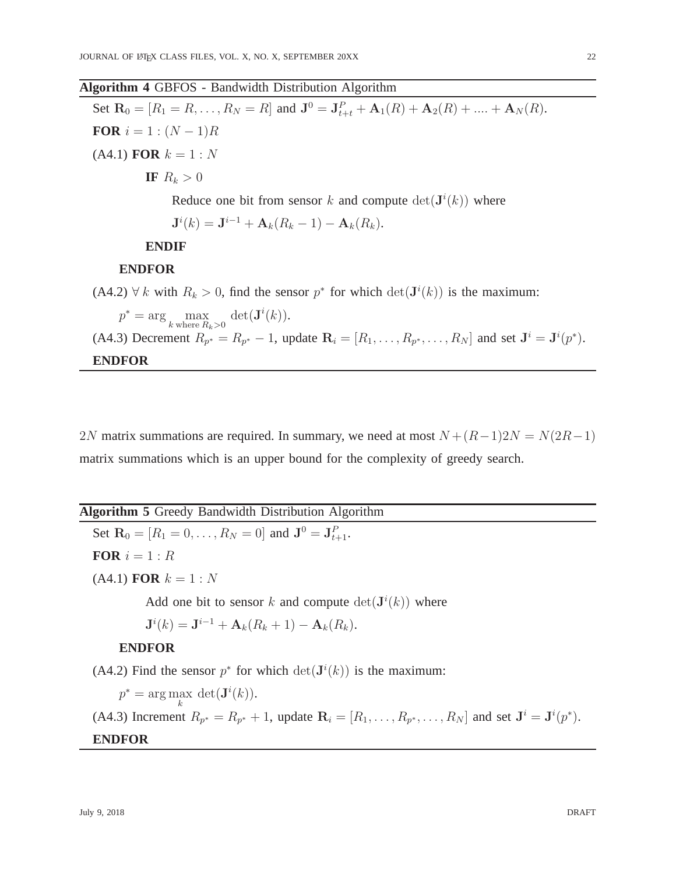## **Algorithm 4** GBFOS - Bandwidth Distribution Algorithm

Set  $\mathbf{R}_0 = [R_1 = R, \dots, R_N = R]$  and  $\mathbf{J}^0 = \mathbf{J}_{t+t}^P + \mathbf{A}_1(R) + \mathbf{A}_2(R) + \dots + \mathbf{A}_N(R)$ . **FOR**  $i = 1 : (N - 1)R$  $(A4.1)$  **FOR**  $k = 1 : N$ **IF**  $R_k > 0$ Reduce one bit from sensor k and compute  $det(\mathbf{J}^{i}(k))$  where  $J^{i}(k) = J^{i-1} + A_{k}(R_{k} - 1) - A_{k}(R_{k}).$ **ENDIF ENDFOR**  $(A4.2) \forall k$  with  $R_k > 0$ , find the sensor  $p^*$  for which  $\det(\mathbf{J}^i(k))$  is the maximum:  $p^* = \arg\max_{k \text{ where } R_k > 0} \det(\mathbf{J}^i(k)).$ (A4.3) Decrement  $R_{p^*} = R_{p^*} - 1$ , update  $\mathbf{R}_i = [R_1, \dots, R_{p^*}, \dots, R_N]$  and set  $\mathbf{J}^i = \mathbf{J}^i(p^*)$ .

# **ENDFOR**

2N matrix summations are required. In summary, we need at most  $N + (R-1)2N = N(2R-1)$ matrix summations which is an upper bound for the complexity of greedy search.

| <b>Algorithm 5</b> Greedy Bandwidth Distribution Algorithm                                                                              |  |  |  |  |
|-----------------------------------------------------------------------------------------------------------------------------------------|--|--|--|--|
| Set $\mathbf{R}_0 = [R_1 = 0, \dots, R_N = 0]$ and $\mathbf{J}^0 = \mathbf{J}_{t+1}^P$ .                                                |  |  |  |  |
| FOR $i=1:R$                                                                                                                             |  |  |  |  |
| $(A4.1)$ FOR $k = 1 : N$                                                                                                                |  |  |  |  |
| Add one bit to sensor k and compute $\det(\mathbf{J}^{i}(k))$ where                                                                     |  |  |  |  |
| ${\bf J}^{i}(k) = {\bf J}^{i-1} + {\bf A}_{k}(R_{k}+1) - {\bf A}_{k}(R_{k}).$                                                           |  |  |  |  |
| <b>ENDFOR</b>                                                                                                                           |  |  |  |  |
| (A4.2) Find the sensor $p^*$ for which $\det(\mathbf{J}^i(k))$ is the maximum:                                                          |  |  |  |  |
| $p^* = \arg \max_k \det(\mathbf{J}^i(k)).$                                                                                              |  |  |  |  |
| (A4.3) Increment $R_{p^*} = R_{p^*} + 1$ , update $\mathbf{R}_i = [R_1, , R_{p^*}, , R_N]$ and set $\mathbf{J}^i = \mathbf{J}^i(p^*)$ . |  |  |  |  |
|                                                                                                                                         |  |  |  |  |

## **ENDFOR**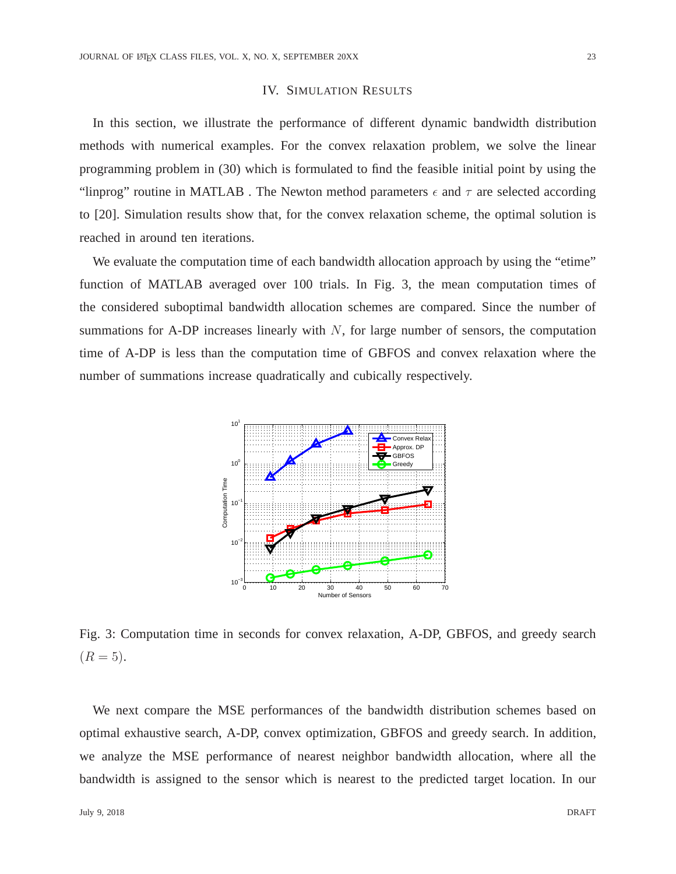# IV. SIMULATION RESULTS

In this section, we illustrate the performance of different dynamic bandwidth distribution methods with numerical examples. For the convex relaxation problem, we solve the linear programming problem in (30) which is formulated to find the feasible initial point by using the "linprog" routine in MATLAB. The Newton method parameters  $\epsilon$  and  $\tau$  are selected according to [20]. Simulation results show that, for the convex relaxation scheme, the optimal solution is reached in around ten iterations.

We evaluate the computation time of each bandwidth allocation approach by using the "etime" function of MATLAB averaged over 100 trials. In Fig. 3, the mean computation times of the considered suboptimal bandwidth allocation schemes are compared. Since the number of summations for A-DP increases linearly with  $N$ , for large number of sensors, the computation time of A-DP is less than the computation time of GBFOS and convex relaxation where the number of summations increase quadratically and cubically respectively.



Fig. 3: Computation time in seconds for convex relaxation, A-DP, GBFOS, and greedy search  $(R = 5)$ .

We next compare the MSE performances of the bandwidth distribution schemes based on optimal exhaustive search, A-DP, convex optimization, GBFOS and greedy search. In addition, we analyze the MSE performance of nearest neighbor bandwidth allocation, where all the bandwidth is assigned to the sensor which is nearest to the predicted target location. In our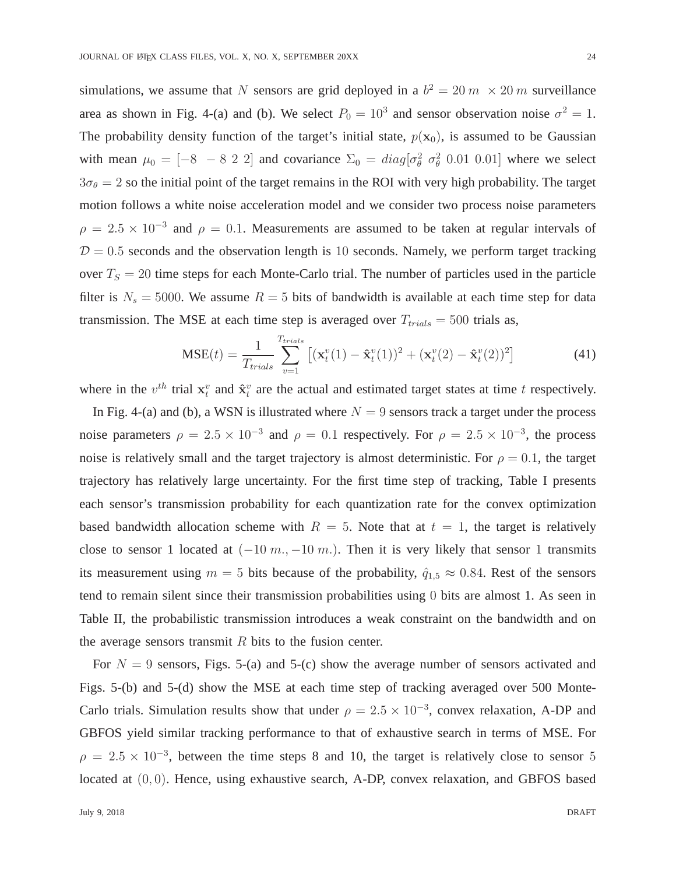simulations, we assume that N sensors are grid deployed in a  $b^2 = 20 m \times 20 m$  surveillance area as shown in Fig. 4-(a) and (b). We select  $P_0 = 10^3$  and sensor observation noise  $\sigma^2 = 1$ . The probability density function of the target's initial state,  $p(\mathbf{x}_0)$ , is assumed to be Gaussian with mean  $\mu_0 = [-8 - 8 \ 2 \ 2]$  and covariance  $\Sigma_0 = diag[\sigma_\theta^2 \ \sigma_\theta^2 \ 0.01 \ 0.01]$  where we select  $3\sigma_{\theta} = 2$  so the initial point of the target remains in the ROI with very high probability. The target motion follows a white noise acceleration model and we consider two process noise parameters  $\rho = 2.5 \times 10^{-3}$  and  $\rho = 0.1$ . Measurements are assumed to be taken at regular intervals of  $D = 0.5$  seconds and the observation length is 10 seconds. Namely, we perform target tracking over  $T_s = 20$  time steps for each Monte-Carlo trial. The number of particles used in the particle filter is  $N_s = 5000$ . We assume  $R = 5$  bits of bandwidth is available at each time step for data transmission. The MSE at each time step is averaged over  $T_{trials} = 500$  trials as,

$$
\text{MSE}(t) = \frac{1}{T_{trials}} \sum_{v=1}^{T_{trials}} \left[ (\mathbf{x}_t^v(1) - \hat{\mathbf{x}}_t^v(1))^2 + (\mathbf{x}_t^v(2) - \hat{\mathbf{x}}_t^v(2))^2 \right] \tag{41}
$$

where in the  $v^{th}$  trial  $x_i^v$  and  $\hat{x}_t^v$  are the actual and estimated target states at time t respectively.

In Fig. 4-(a) and (b), a WSN is illustrated where  $N = 9$  sensors track a target under the process noise parameters  $\rho = 2.5 \times 10^{-3}$  and  $\rho = 0.1$  respectively. For  $\rho = 2.5 \times 10^{-3}$ , the process noise is relatively small and the target trajectory is almost deterministic. For  $\rho = 0.1$ , the target trajectory has relatively large uncertainty. For the first time step of tracking, Table I presents each sensor's transmission probability for each quantization rate for the convex optimization based bandwidth allocation scheme with  $R = 5$ . Note that at  $t = 1$ , the target is relatively close to sensor 1 located at  $(-10 \, m, -10 \, m)$ . Then it is very likely that sensor 1 transmits its measurement using  $m = 5$  bits because of the probability,  $\hat{q}_{1,5} \approx 0.84$ . Rest of the sensors tend to remain silent since their transmission probabilities using 0 bits are almost 1. As seen in Table II, the probabilistic transmission introduces a weak constraint on the bandwidth and on the average sensors transmit  $R$  bits to the fusion center.

For  $N = 9$  sensors, Figs. 5-(a) and 5-(c) show the average number of sensors activated and Figs. 5-(b) and 5-(d) show the MSE at each time step of tracking averaged over 500 Monte-Carlo trials. Simulation results show that under  $\rho = 2.5 \times 10^{-3}$ , convex relaxation, A-DP and GBFOS yield similar tracking performance to that of exhaustive search in terms of MSE. For  $\rho = 2.5 \times 10^{-3}$ , between the time steps 8 and 10, the target is relatively close to sensor 5 located at (0, 0). Hence, using exhaustive search, A-DP, convex relaxation, and GBFOS based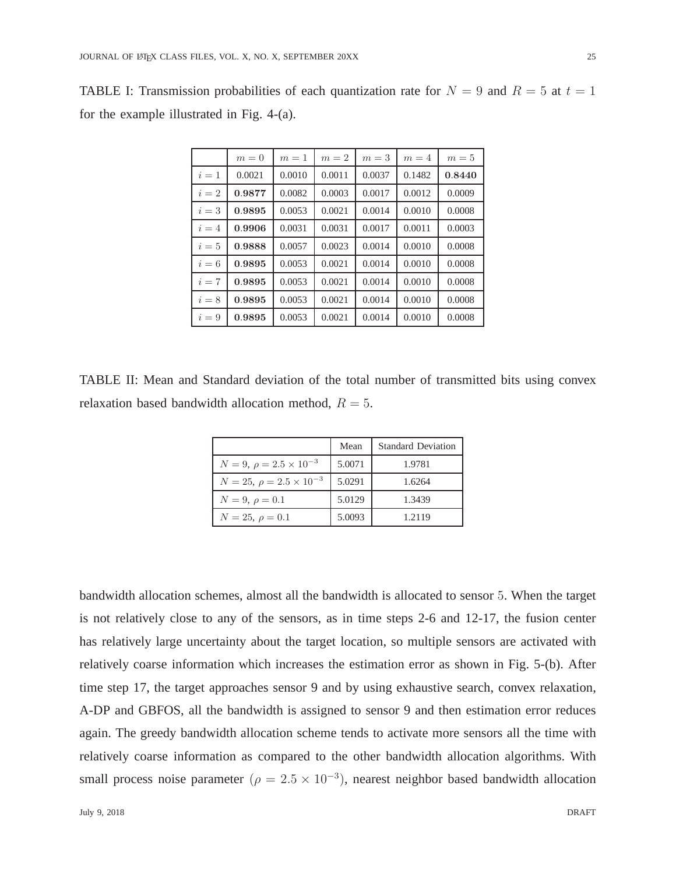|       | $m=0$  | $m=1$  | $m=2$  | $m=3$  | $m=4$  | $m=5$  |
|-------|--------|--------|--------|--------|--------|--------|
| $i=1$ | 0.0021 | 0.0010 | 0.0011 | 0.0037 | 0.1482 | 0.8440 |
| $i=2$ | 0.9877 | 0.0082 | 0.0003 | 0.0017 | 0.0012 | 0.0009 |
| $i=3$ | 0.9895 | 0.0053 | 0.0021 | 0.0014 | 0.0010 | 0.0008 |
| $i=4$ | 0.9906 | 0.0031 | 0.0031 | 0.0017 | 0.0011 | 0.0003 |
| $i=5$ | 0.9888 | 0.0057 | 0.0023 | 0.0014 | 0.0010 | 0.0008 |
| $i=6$ | 0.9895 | 0.0053 | 0.0021 | 0.0014 | 0.0010 | 0.0008 |
| $i=7$ | 0.9895 | 0.0053 | 0.0021 | 0.0014 | 0.0010 | 0.0008 |
| $i=8$ | 0.9895 | 0.0053 | 0.0021 | 0.0014 | 0.0010 | 0.0008 |
| $i=9$ | 0.9895 | 0.0053 | 0.0021 | 0.0014 | 0.0010 | 0.0008 |

TABLE I: Transmission probabilities of each quantization rate for  $N = 9$  and  $R = 5$  at  $t = 1$ for the example illustrated in Fig. 4-(a).

TABLE II: Mean and Standard deviation of the total number of transmitted bits using convex relaxation based bandwidth allocation method,  $R = 5$ .

|                                     | Mean   | <b>Standard Deviation</b> |
|-------------------------------------|--------|---------------------------|
| $N = 9, \rho = 2.5 \times 10^{-3}$  | 5.0071 | 1.9781                    |
| $N = 25, \rho = 2.5 \times 10^{-3}$ | 5.0291 | 1.6264                    |
| $N = 9, \rho = 0.1$                 | 5.0129 | 1.3439                    |
| $N = 25, \rho = 0.1$                | 5.0093 | 1.2119                    |

bandwidth allocation schemes, almost all the bandwidth is allocated to sensor 5. When the target is not relatively close to any of the sensors, as in time steps 2-6 and 12-17, the fusion center has relatively large uncertainty about the target location, so multiple sensors are activated with relatively coarse information which increases the estimation error as shown in Fig. 5-(b). After time step 17, the target approaches sensor 9 and by using exhaustive search, convex relaxation, A-DP and GBFOS, all the bandwidth is assigned to sensor 9 and then estimation error reduces again. The greedy bandwidth allocation scheme tends to activate more sensors all the time with relatively coarse information as compared to the other bandwidth allocation algorithms. With small process noise parameter ( $\rho = 2.5 \times 10^{-3}$ ), nearest neighbor based bandwidth allocation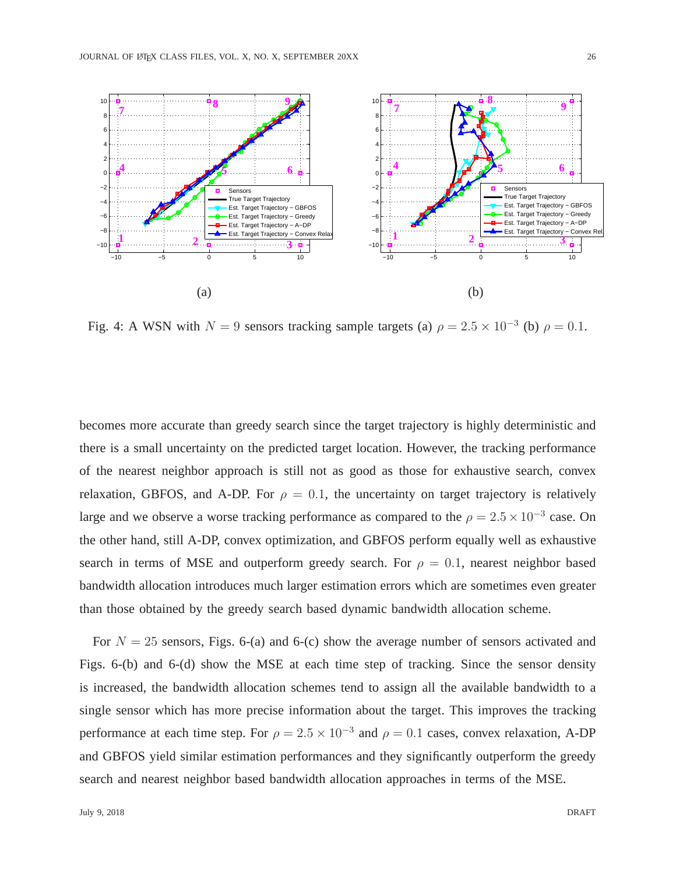

Fig. 4: A WSN with  $N = 9$  sensors tracking sample targets (a)  $\rho = 2.5 \times 10^{-3}$  (b)  $\rho = 0.1$ .

becomes more accurate than greedy search since the target trajectory is highly deterministic and there is a small uncertainty on the predicted target location. However, the tracking performance of the nearest neighbor approach is still not as good as those for exhaustive search, convex relaxation, GBFOS, and A-DP. For  $\rho = 0.1$ , the uncertainty on target trajectory is relatively large and we observe a worse tracking performance as compared to the  $\rho = 2.5 \times 10^{-3}$  case. On the other hand, still A-DP, convex optimization, and GBFOS perform equally well as exhaustive search in terms of MSE and outperform greedy search. For  $\rho = 0.1$ , nearest neighbor based bandwidth allocation introduces much larger estimation errors which are sometimes even greater than those obtained by the greedy search based dynamic bandwidth allocation scheme.

For  $N = 25$  sensors, Figs. 6-(a) and 6-(c) show the average number of sensors activated and Figs. 6-(b) and 6-(d) show the MSE at each time step of tracking. Since the sensor density is increased, the bandwidth allocation schemes tend to assign all the available bandwidth to a single sensor which has more precise information about the target. This improves the tracking performance at each time step. For  $\rho = 2.5 \times 10^{-3}$  and  $\rho = 0.1$  cases, convex relaxation, A-DP and GBFOS yield similar estimation performances and they significantly outperform the greedy search and nearest neighbor based bandwidth allocation approaches in terms of the MSE.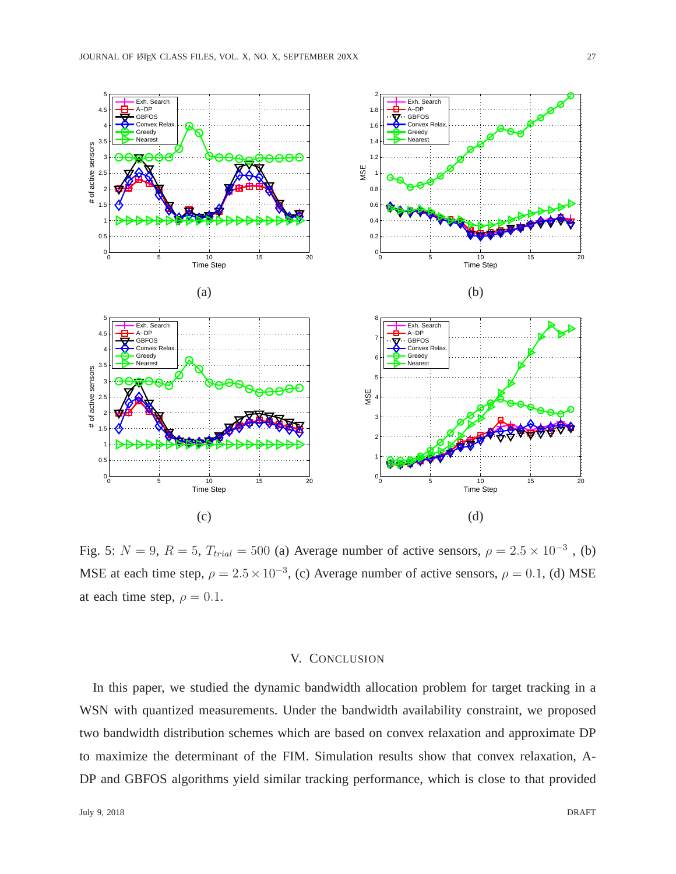

Fig. 5:  $N = 9$ ,  $R = 5$ ,  $T<sub>trial</sub> = 500$  (a) Average number of active sensors,  $\rho = 2.5 \times 10^{-3}$ , (b) MSE at each time step,  $\rho = 2.5 \times 10^{-3}$ , (c) Average number of active sensors,  $\rho = 0.1$ , (d) MSE at each time step,  $\rho = 0.1$ .

## V. CONCLUSION

In this paper, we studied the dynamic bandwidth allocation problem for target tracking in a WSN with quantized measurements. Under the bandwidth availability constraint, we proposed two bandwidth distribution schemes which are based on convex relaxation and approximate DP to maximize the determinant of the FIM. Simulation results show that convex relaxation, A-DP and GBFOS algorithms yield similar tracking performance, which is close to that provided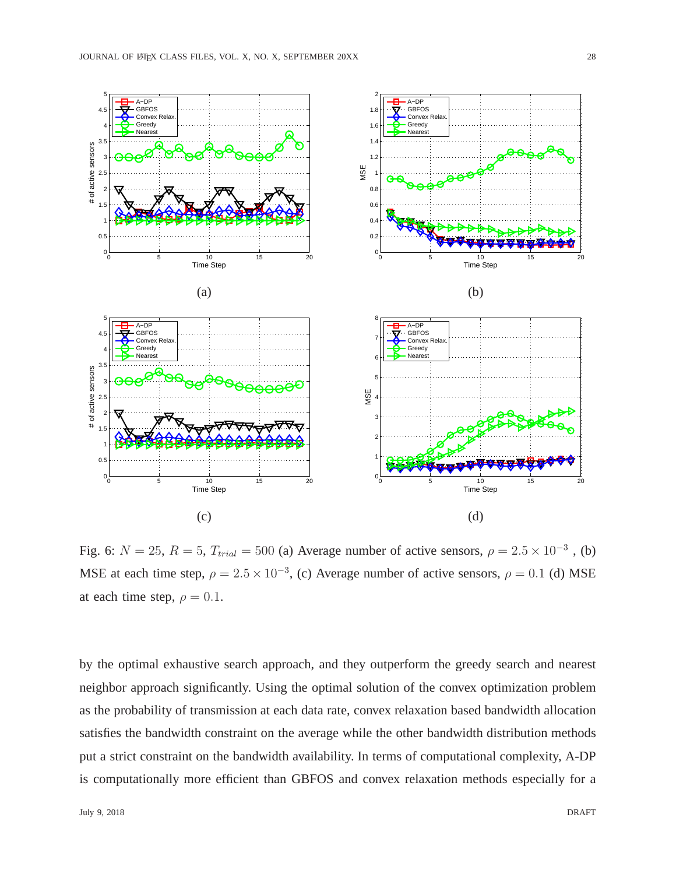

Fig. 6:  $N = 25$ ,  $R = 5$ ,  $T<sub>trial</sub> = 500$  (a) Average number of active sensors,  $\rho = 2.5 \times 10^{-3}$ , (b) MSE at each time step,  $\rho = 2.5 \times 10^{-3}$ , (c) Average number of active sensors,  $\rho = 0.1$  (d) MSE at each time step,  $\rho = 0.1$ .

by the optimal exhaustive search approach, and they outperform the greedy search and nearest neighbor approach significantly. Using the optimal solution of the convex optimization problem as the probability of transmission at each data rate, convex relaxation based bandwidth allocation satisfies the bandwidth constraint on the average while the other bandwidth distribution methods put a strict constraint on the bandwidth availability. In terms of computational complexity, A-DP is computationally more efficient than GBFOS and convex relaxation methods especially for a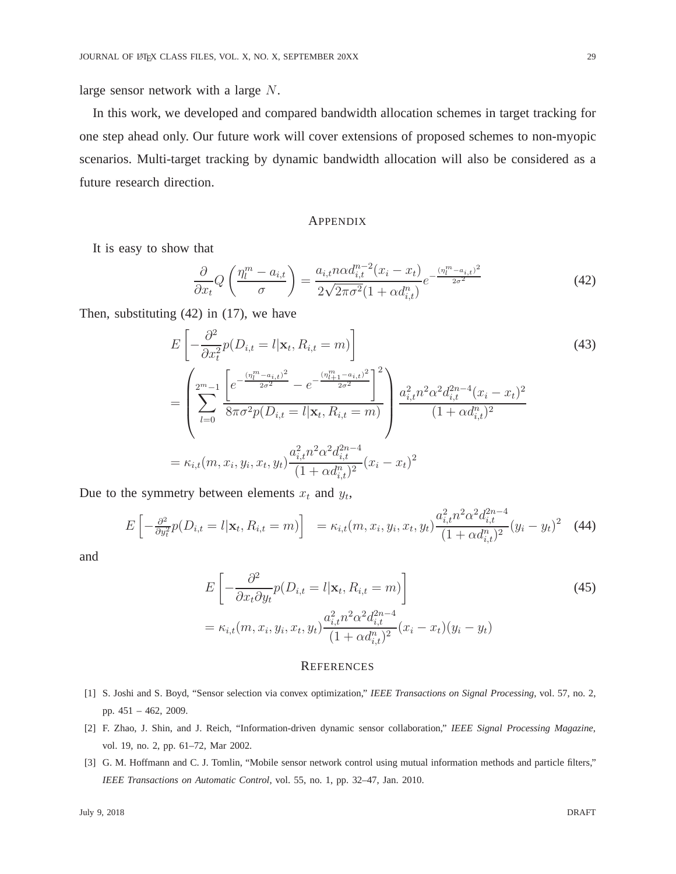large sensor network with a large N.

In this work, we developed and compared bandwidth allocation schemes in target tracking for one step ahead only. Our future work will cover extensions of proposed schemes to non-myopic scenarios. Multi-target tracking by dynamic bandwidth allocation will also be considered as a future research direction.

#### **APPENDIX**

It is easy to show that

$$
\frac{\partial}{\partial x_t} Q\left(\frac{\eta_l^m - a_{i,t}}{\sigma}\right) = \frac{a_{i,t} n \alpha d_{i,t}^{n-2} (x_i - x_t)}{2\sqrt{2\pi \sigma^2} (1 + \alpha d_{i,t}^n)} e^{-\frac{(\eta_l^m - a_{i,t})^2}{2\sigma^2}}
$$
(42)

Then, substituting (42) in (17), we have

$$
E\left[-\frac{\partial^2}{\partial x_t^2}p(D_{i,t} = l|\mathbf{x}_t, R_{i,t} = m)\right]
$$
\n
$$
\int_{2^m - 1} \left[e^{-\frac{(\eta_t^m - a_{i,t})^2}{2\sigma^2} - e^{-\frac{(\eta_{t+1}^m - a_{i,t})^2}{2\sigma^2}}}\right]^2\right]_{2^m - 2} \longrightarrow 2^{2m - 4} \longrightarrow 2^{2m - 4}
$$
\n(43)

$$
= \left(\sum_{l=0}^{2^{m}-1} \frac{\left[e^{-\frac{\alpha_{i}}{2\sigma^{2}}}-e^{-\frac{\alpha_{i+1}}{2\sigma^{2}}}\right]}{8\pi\sigma^{2}p(D_{i,t}=l|\mathbf{x}_{t},R_{i,t}=m)}\right)\frac{a_{i,t}^{2}n^{2}\alpha^{2}d_{i,t}^{2n-4}(x_{i}-x_{t})^{2}}{(1+\alpha d_{i,t}^{n})^{2}}
$$

$$
= \kappa_{i,t}(m,x_{i},y_{i},x_{t},y_{t})\frac{a_{i,t}^{2}n^{2}\alpha^{2}d_{i,t}^{2n-4}}{(1+\alpha d_{i,t}^{n})^{2}}(x_{i}-x_{t})^{2}
$$

Due to the symmetry between elements  $x_t$  and  $y_t$ ,

$$
E\left[-\frac{\partial^2}{\partial y_t^2}p(D_{i,t}=l|\mathbf{x}_t, R_{i,t}=m)\right] = \kappa_{i,t}(m, x_i, y_i, x_t, y_t)\frac{a_{i,t}^2n^2\alpha^2d_{i,t}^{2n-4}}{(1+\alpha d_{i,t}^n)^2}(y_i-y_t)^2
$$
 (44)

and

$$
E\left[-\frac{\partial^2}{\partial x_t \partial y_t} p(D_{i,t} = l | \mathbf{x}_t, R_{i,t} = m)\right]
$$
  
=  $\kappa_{i,t}(m, x_i, y_i, x_t, y_t) \frac{a_{i,t}^2 n^2 \alpha^2 d_{i,t}^{2n-4}}{(1 + \alpha d_{i,t}^n)^2} (x_i - x_t)(y_i - y_t)$  (45)

#### **REFERENCES**

- [1] S. Joshi and S. Boyd, "Sensor selection via convex optimization," *IEEE Transactions on Signal Processing*, vol. 57, no. 2, pp. 451 – 462, 2009.
- [2] F. Zhao, J. Shin, and J. Reich, "Information-driven dynamic sensor collaboration," *IEEE Signal Processing Magazine*, vol. 19, no. 2, pp. 61–72, Mar 2002.
- [3] G. M. Hoffmann and C. J. Tomlin, "Mobile sensor network control using mutual information methods and particle filters," *IEEE Transactions on Automatic Control*, vol. 55, no. 1, pp. 32–47, Jan. 2010.